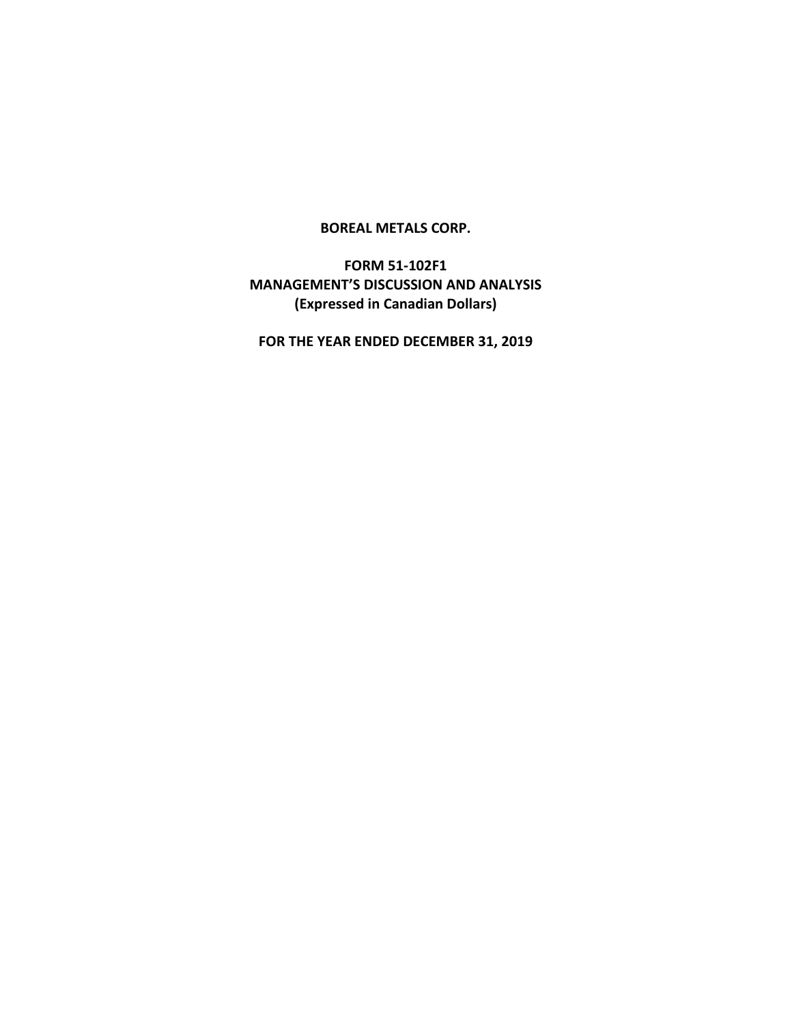### **BOREAL METALS CORP.**

# **FORM 51-102F1 MANAGEMENT'S DISCUSSION AND ANALYSIS (Expressed in Canadian Dollars)**

**FOR THE YEAR ENDED DECEMBER 31, 2019**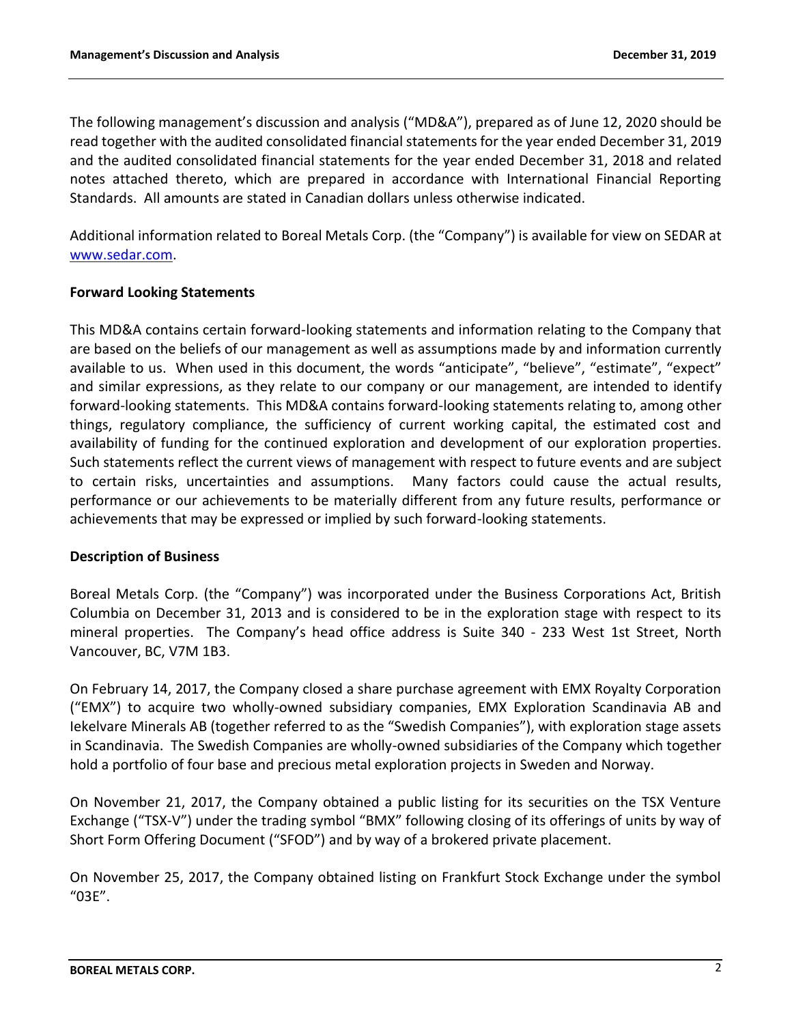The following management's discussion and analysis ("MD&A"), prepared as of June 12, 2020 should be read together with the audited consolidated financial statements for the year ended December 31, 2019 and the audited consolidated financial statements for the year ended December 31, 2018 and related notes attached thereto, which are prepared in accordance with International Financial Reporting Standards. All amounts are stated in Canadian dollars unless otherwise indicated.

Additional information related to Boreal Metals Corp. (the "Company") is available for view on SEDAR at [www.sedar.com.](http://www.sedar.com/)

## **Forward Looking Statements**

This MD&A contains certain forward-looking statements and information relating to the Company that are based on the beliefs of our management as well as assumptions made by and information currently available to us. When used in this document, the words "anticipate", "believe", "estimate", "expect" and similar expressions, as they relate to our company or our management, are intended to identify forward-looking statements. This MD&A contains forward-looking statements relating to, among other things, regulatory compliance, the sufficiency of current working capital, the estimated cost and availability of funding for the continued exploration and development of our exploration properties. Such statements reflect the current views of management with respect to future events and are subject to certain risks, uncertainties and assumptions. Many factors could cause the actual results, performance or our achievements to be materially different from any future results, performance or achievements that may be expressed or implied by such forward-looking statements.

## **Description of Business**

Boreal Metals Corp. (the "Company") was incorporated under the Business Corporations Act, British Columbia on December 31, 2013 and is considered to be in the exploration stage with respect to its mineral properties. The Company's head office address is Suite 340 - 233 West 1st Street, North Vancouver, BC, V7M 1B3.

On February 14, 2017, the Company closed a share purchase agreement with EMX Royalty Corporation ("EMX") to acquire two wholly-owned subsidiary companies, EMX Exploration Scandinavia AB and Iekelvare Minerals AB (together referred to as the "Swedish Companies"), with exploration stage assets in Scandinavia. The Swedish Companies are wholly-owned subsidiaries of the Company which together hold a portfolio of four base and precious metal exploration projects in Sweden and Norway.

On November 21, 2017, the Company obtained a public listing for its securities on the TSX Venture Exchange ("TSX-V") under the trading symbol "BMX" following closing of its offerings of units by way of Short Form Offering Document ("SFOD") and by way of a brokered private placement.

On November 25, 2017, the Company obtained listing on Frankfurt Stock Exchange under the symbol "03E".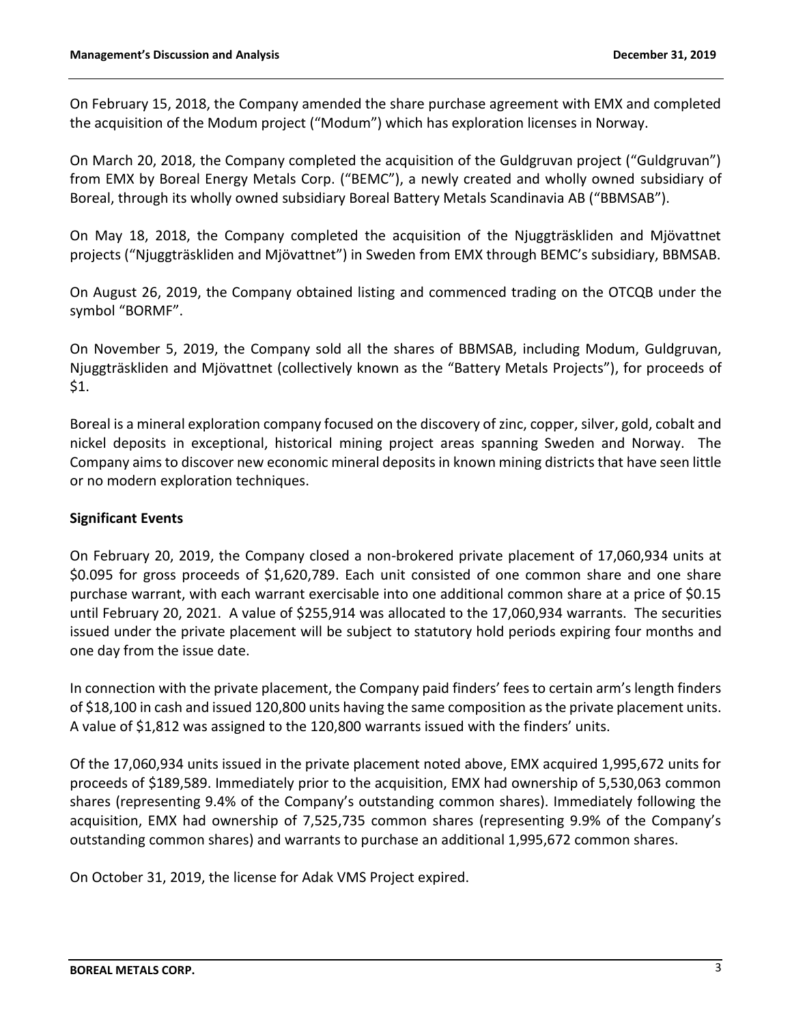On February 15, 2018, the Company amended the share purchase agreement with EMX and completed the acquisition of the Modum project ("Modum") which has exploration licenses in Norway.

On March 20, 2018, the Company completed the acquisition of the Guldgruvan project ("Guldgruvan") from EMX by Boreal Energy Metals Corp. ("BEMC"), a newly created and wholly owned subsidiary of Boreal, through its wholly owned subsidiary Boreal Battery Metals Scandinavia AB ("BBMSAB").

On May 18, 2018, the Company completed the acquisition of the Njuggträskliden and Mjövattnet projects ("Njuggträskliden and Mjövattnet") in Sweden from EMX through BEMC's subsidiary, BBMSAB.

On August 26, 2019, the Company obtained listing and commenced trading on the OTCQB under the symbol "BORMF".

On November 5, 2019, the Company sold all the shares of BBMSAB, including Modum, Guldgruvan, Njuggträskliden and Mjövattnet (collectively known as the "Battery Metals Projects"), for proceeds of \$1.

Boreal is a mineral exploration company focused on the discovery of zinc, copper, silver, gold, cobalt and nickel deposits in exceptional, historical mining project areas spanning Sweden and Norway. The Company aims to discover new economic mineral deposits in known mining districts that have seen little or no modern exploration techniques.

## **Significant Events**

On February 20, 2019, the Company closed a non-brokered private placement of 17,060,934 units at \$0.095 for gross proceeds of \$1,620,789. Each unit consisted of one common share and one share purchase warrant, with each warrant exercisable into one additional common share at a price of \$0.15 until February 20, 2021. A value of \$255,914 was allocated to the 17,060,934 warrants. The securities issued under the private placement will be subject to statutory hold periods expiring four months and one day from the issue date.

In connection with the private placement, the Company paid finders' fees to certain arm's length finders of \$18,100 in cash and issued 120,800 units having the same composition as the private placement units. A value of \$1,812 was assigned to the 120,800 warrants issued with the finders' units.

Of the 17,060,934 units issued in the private placement noted above, EMX acquired 1,995,672 units for proceeds of \$189,589. Immediately prior to the acquisition, EMX had ownership of 5,530,063 common shares (representing 9.4% of the Company's outstanding common shares). Immediately following the acquisition, EMX had ownership of 7,525,735 common shares (representing 9.9% of the Company's outstanding common shares) and warrants to purchase an additional 1,995,672 common shares.

On October 31, 2019, the license for Adak VMS Project expired.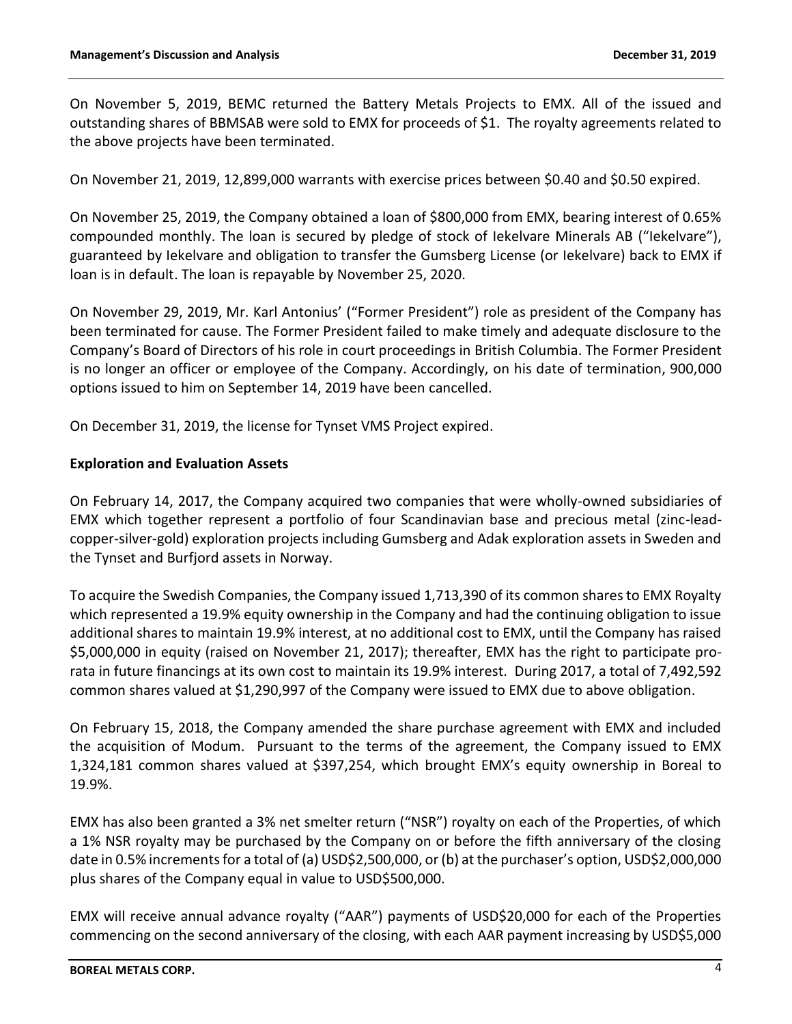On November 5, 2019, BEMC returned the Battery Metals Projects to EMX. All of the issued and outstanding shares of BBMSAB were sold to EMX for proceeds of \$1. The royalty agreements related to the above projects have been terminated.

On November 21, 2019, 12,899,000 warrants with exercise prices between \$0.40 and \$0.50 expired.

On November 25, 2019, the Company obtained a loan of \$800,000 from EMX, bearing interest of 0.65% compounded monthly. The loan is secured by pledge of stock of Iekelvare Minerals AB ("Iekelvare"), guaranteed by Iekelvare and obligation to transfer the Gumsberg License (or Iekelvare) back to EMX if loan is in default. The loan is repayable by November 25, 2020.

On November 29, 2019, Mr. Karl Antonius' ("Former President") role as president of the Company has been terminated for cause. The Former President failed to make timely and adequate disclosure to the Company's Board of Directors of his role in court proceedings in British Columbia. The Former President is no longer an officer or employee of the Company. Accordingly, on his date of termination, 900,000 options issued to him on September 14, 2019 have been cancelled.

On December 31, 2019, the license for Tynset VMS Project expired.

### **Exploration and Evaluation Assets**

On February 14, 2017, the Company acquired two companies that were wholly-owned subsidiaries of EMX which together represent a portfolio of four Scandinavian base and precious metal (zinc-leadcopper-silver-gold) exploration projects including Gumsberg and Adak exploration assets in Sweden and the Tynset and Burfjord assets in Norway.

To acquire the Swedish Companies, the Company issued 1,713,390 of its common shares to EMX Royalty which represented a 19.9% equity ownership in the Company and had the continuing obligation to issue additional shares to maintain 19.9% interest, at no additional cost to EMX, until the Company has raised \$5,000,000 in equity (raised on November 21, 2017); thereafter, EMX has the right to participate prorata in future financings at its own cost to maintain its 19.9% interest. During 2017, a total of 7,492,592 common shares valued at \$1,290,997 of the Company were issued to EMX due to above obligation.

On February 15, 2018, the Company amended the share purchase agreement with EMX and included the acquisition of Modum. Pursuant to the terms of the agreement, the Company issued to EMX 1,324,181 common shares valued at \$397,254, which brought EMX's equity ownership in Boreal to 19.9%.

EMX has also been granted a 3% net smelter return ("NSR") royalty on each of the Properties, of which a 1% NSR royalty may be purchased by the Company on or before the fifth anniversary of the closing date in 0.5% increments for a total of (a) USD\$2,500,000, or (b) at the purchaser's option, USD\$2,000,000 plus shares of the Company equal in value to USD\$500,000.

EMX will receive annual advance royalty ("AAR") payments of USD\$20,000 for each of the Properties commencing on the second anniversary of the closing, with each AAR payment increasing by USD\$5,000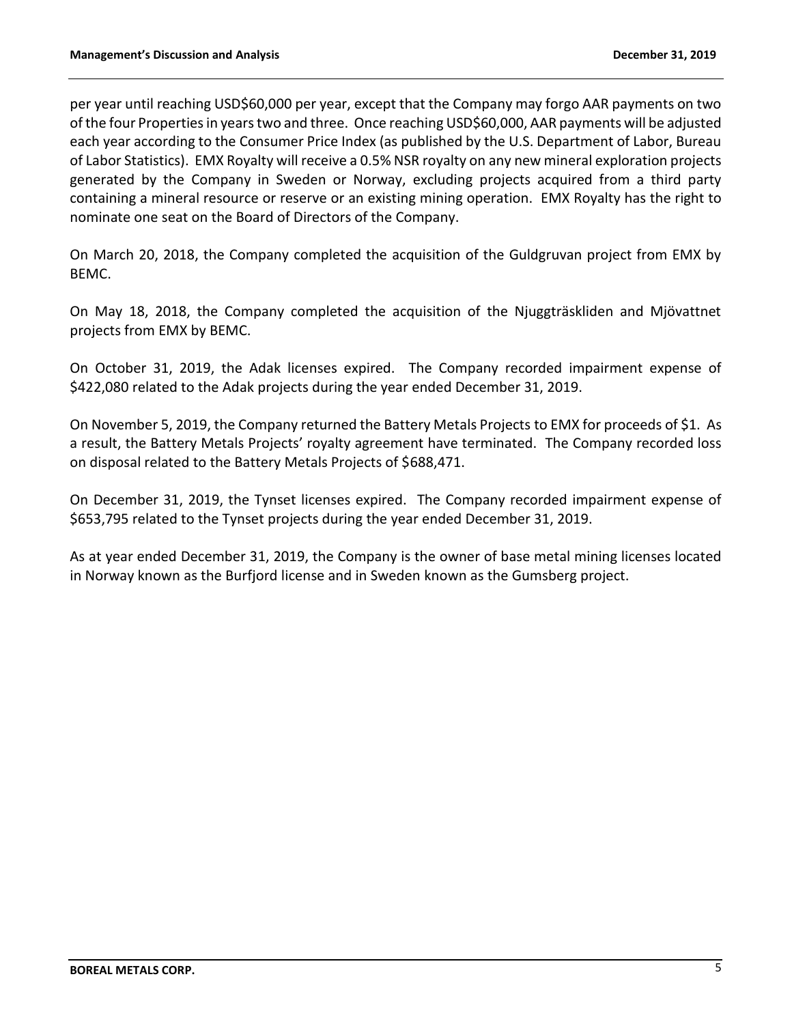per year until reaching USD\$60,000 per year, except that the Company may forgo AAR payments on two of the four Properties in years two and three. Once reaching USD\$60,000, AAR payments will be adjusted each year according to the Consumer Price Index (as published by the U.S. Department of Labor, Bureau of Labor Statistics). EMX Royalty will receive a 0.5% NSR royalty on any new mineral exploration projects generated by the Company in Sweden or Norway, excluding projects acquired from a third party containing a mineral resource or reserve or an existing mining operation. EMX Royalty has the right to nominate one seat on the Board of Directors of the Company.

On March 20, 2018, the Company completed the acquisition of the Guldgruvan project from EMX by BEMC.

On May 18, 2018, the Company completed the acquisition of the Njuggträskliden and Mjövattnet projects from EMX by BEMC.

On October 31, 2019, the Adak licenses expired. The Company recorded impairment expense of \$422,080 related to the Adak projects during the year ended December 31, 2019.

On November 5, 2019, the Company returned the Battery Metals Projects to EMX for proceeds of \$1. As a result, the Battery Metals Projects' royalty agreement have terminated. The Company recorded loss on disposal related to the Battery Metals Projects of \$688,471.

On December 31, 2019, the Tynset licenses expired. The Company recorded impairment expense of \$653,795 related to the Tynset projects during the year ended December 31, 2019.

As at year ended December 31, 2019, the Company is the owner of base metal mining licenses located in Norway known as the Burfjord license and in Sweden known as the Gumsberg project.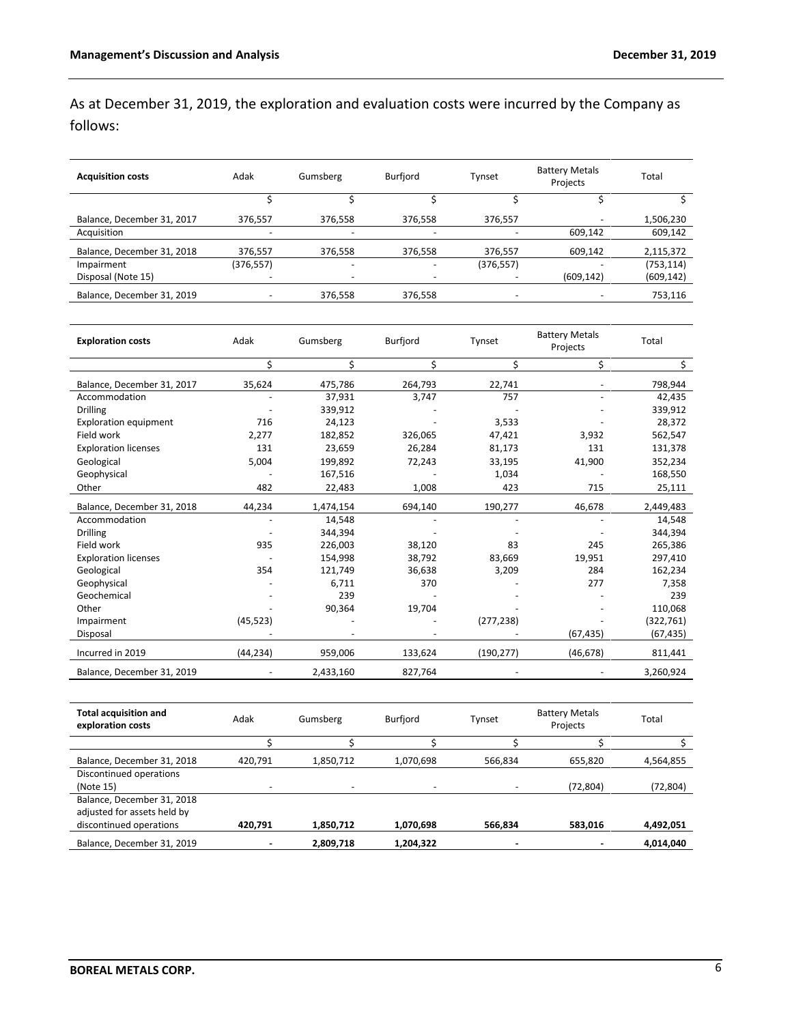As at December 31, 2019, the exploration and evaluation costs were incurred by the Company as follows:

| <b>Acquisition costs</b>   | Adak      | Gumsberg                 | Burfjord | Tynset                       | <b>Battery Metals</b><br>Projects | Total      |
|----------------------------|-----------|--------------------------|----------|------------------------------|-----------------------------------|------------|
|                            |           |                          |          |                              |                                   |            |
| Balance, December 31, 2017 | 376,557   | 376,558                  | 376,558  | 376,557                      |                                   | 1,506,230  |
| Acquisition                |           |                          |          |                              | 609,142                           | 609,142    |
| Balance, December 31, 2018 | 376,557   | 376,558                  | 376,558  | 376,557                      | 609,142                           | 2,115,372  |
| Impairment                 | (376,557) | -                        |          | (376, 557)                   |                                   | (753, 114) |
| Disposal (Note 15)         |           | $\overline{\phantom{0}}$ |          |                              | (609, 142)                        | (609, 142) |
| Balance, December 31, 2019 |           | 376,558                  | 376,558  | $\qquad \qquad \blacksquare$ |                                   | 753,116    |

| <b>Exploration costs</b>     | Adak      | Gumsberg  | Burfjord | Tynset     | <b>Battery Metals</b><br>Projects | Total      |
|------------------------------|-----------|-----------|----------|------------|-----------------------------------|------------|
|                              | \$        | \$        | \$       | \$         | \$                                | \$         |
| Balance, December 31, 2017   | 35,624    | 475,786   | 264,793  | 22,741     |                                   | 798,944    |
| Accommodation                |           | 37,931    | 3,747    | 757        |                                   | 42,435     |
| <b>Drilling</b>              |           | 339,912   |          |            |                                   | 339,912    |
| <b>Exploration equipment</b> | 716       | 24,123    |          | 3,533      |                                   | 28,372     |
| Field work                   | 2,277     | 182,852   | 326,065  | 47,421     | 3,932                             | 562,547    |
| <b>Exploration licenses</b>  | 131       | 23,659    | 26,284   | 81,173     | 131                               | 131,378    |
| Geological                   | 5,004     | 199,892   | 72,243   | 33,195     | 41,900                            | 352,234    |
| Geophysical                  |           | 167,516   |          | 1,034      |                                   | 168,550    |
| Other                        | 482       | 22,483    | 1,008    | 423        | 715                               | 25,111     |
| Balance, December 31, 2018   | 44,234    | 1,474,154 | 694,140  | 190,277    | 46,678                            | 2,449,483  |
| Accommodation                |           | 14,548    |          |            |                                   | 14,548     |
| <b>Drilling</b>              |           | 344,394   |          |            |                                   | 344,394    |
| Field work                   | 935       | 226,003   | 38,120   | 83         | 245                               | 265,386    |
| <b>Exploration licenses</b>  |           | 154,998   | 38,792   | 83,669     | 19,951                            | 297,410    |
| Geological                   | 354       | 121,749   | 36,638   | 3,209      | 284                               | 162,234    |
| Geophysical                  |           | 6,711     | 370      |            | 277                               | 7,358      |
| Geochemical                  |           | 239       |          |            |                                   | 239        |
| Other                        |           | 90,364    | 19,704   |            |                                   | 110,068    |
| Impairment                   | (45, 523) |           |          | (277, 238) |                                   | (322, 761) |
| Disposal                     |           |           |          |            | (67, 435)                         | (67, 435)  |
| Incurred in 2019             | (44, 234) | 959,006   | 133,624  | (190, 277) | (46, 678)                         | 811,441    |
| Balance, December 31, 2019   |           | 2,433,160 | 827,764  |            |                                   | 3,260,924  |

| <b>Total acquisition and</b><br>exploration costs | Adak    | Gumsberg  | Burfjord  | Tynset  | <b>Battery Metals</b><br>Projects | Total     |
|---------------------------------------------------|---------|-----------|-----------|---------|-----------------------------------|-----------|
|                                                   |         |           |           |         |                                   |           |
| Balance, December 31, 2018                        | 420.791 | 1,850,712 | 1,070,698 | 566.834 | 655,820                           | 4,564,855 |
| Discontinued operations                           |         |           |           |         |                                   |           |
| (Note 15)                                         |         |           |           | -       | (72, 804)                         | (72,804)  |
| Balance, December 31, 2018                        |         |           |           |         |                                   |           |
| adjusted for assets held by                       |         |           |           |         |                                   |           |
| discontinued operations                           | 420.791 | 1,850,712 | 1,070,698 | 566,834 | 583.016                           | 4,492,051 |
| Balance, December 31, 2019                        |         | 2,809,718 | 1.204.322 | -       |                                   | 4.014.040 |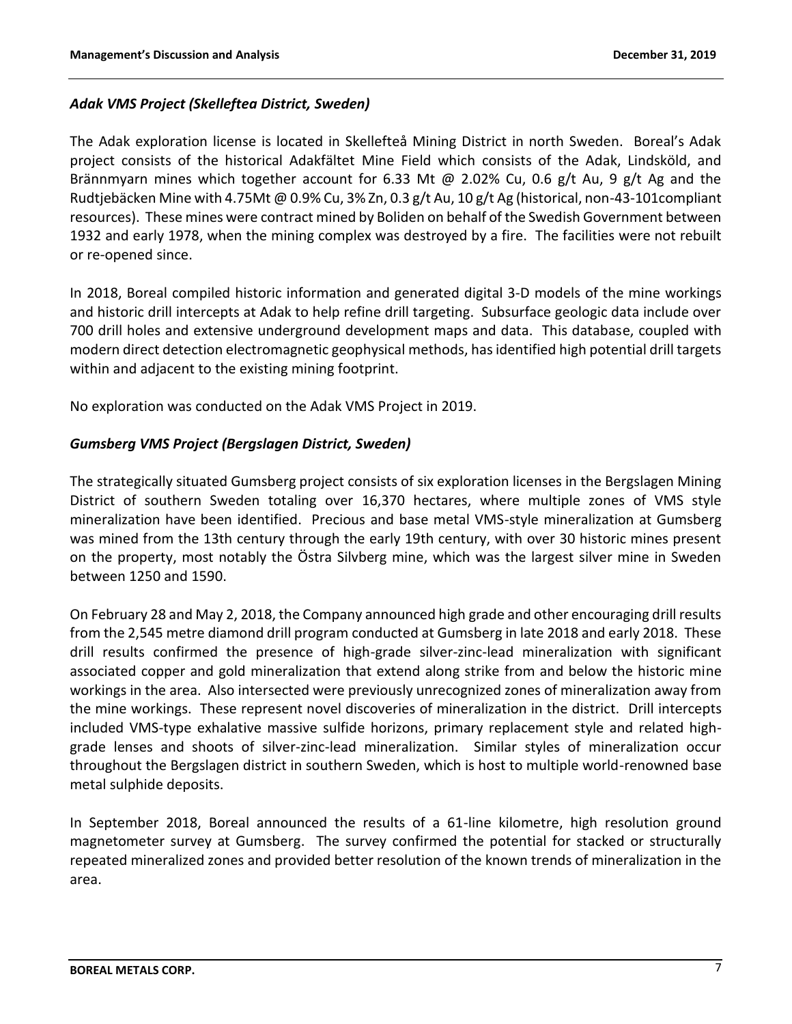# *Adak VMS Project (Skelleftea District, Sweden)*

The Adak exploration license is located in Skellefteå Mining District in north Sweden. Boreal's Adak project consists of the historical Adakfältet Mine Field which consists of the Adak, Lindsköld, and Brännmyarn mines which together account for 6.33 Mt @ 2.02% Cu, 0.6 g/t Au, 9 g/t Ag and the Rudtjebäcken Mine with 4.75Mt @ 0.9% Cu, 3% Zn, 0.3 g/t Au, 10 g/t Ag (historical, non-43-101compliant resources). These mines were contract mined by Boliden on behalf of the Swedish Government between 1932 and early 1978, when the mining complex was destroyed by a fire. The facilities were not rebuilt or re-opened since.

In 2018, Boreal compiled historic information and generated digital 3-D models of the mine workings and historic drill intercepts at Adak to help refine drill targeting. Subsurface geologic data include over 700 drill holes and extensive underground development maps and data. This database, coupled with modern direct detection electromagnetic geophysical methods, has identified high potential drill targets within and adjacent to the existing mining footprint.

No exploration was conducted on the Adak VMS Project in 2019.

# *Gumsberg VMS Project (Bergslagen District, Sweden)*

The strategically situated Gumsberg project consists of six exploration licenses in the Bergslagen Mining District of southern Sweden totaling over 16,370 hectares, where multiple zones of VMS style mineralization have been identified. Precious and base metal VMS-style mineralization at Gumsberg was mined from the 13th century through the early 19th century, with over 30 historic mines present on the property, most notably the Östra Silvberg mine, which was the largest silver mine in Sweden between 1250 and 1590.

On February 28 and May 2, 2018, the Company announced high grade and other encouraging drill results from the 2,545 metre diamond drill program conducted at Gumsberg in late 2018 and early 2018. These drill results confirmed the presence of high-grade silver-zinc-lead mineralization with significant associated copper and gold mineralization that extend along strike from and below the historic mine workings in the area. Also intersected were previously unrecognized zones of mineralization away from the mine workings. These represent novel discoveries of mineralization in the district. Drill intercepts included VMS-type exhalative massive sulfide horizons, primary replacement style and related highgrade lenses and shoots of silver-zinc-lead mineralization. Similar styles of mineralization occur throughout the Bergslagen district in southern Sweden, which is host to multiple world-renowned base metal sulphide deposits.

In September 2018, Boreal announced the results of a 61-line kilometre, high resolution ground magnetometer survey at Gumsberg. The survey confirmed the potential for stacked or structurally repeated mineralized zones and provided better resolution of the known trends of mineralization in the area.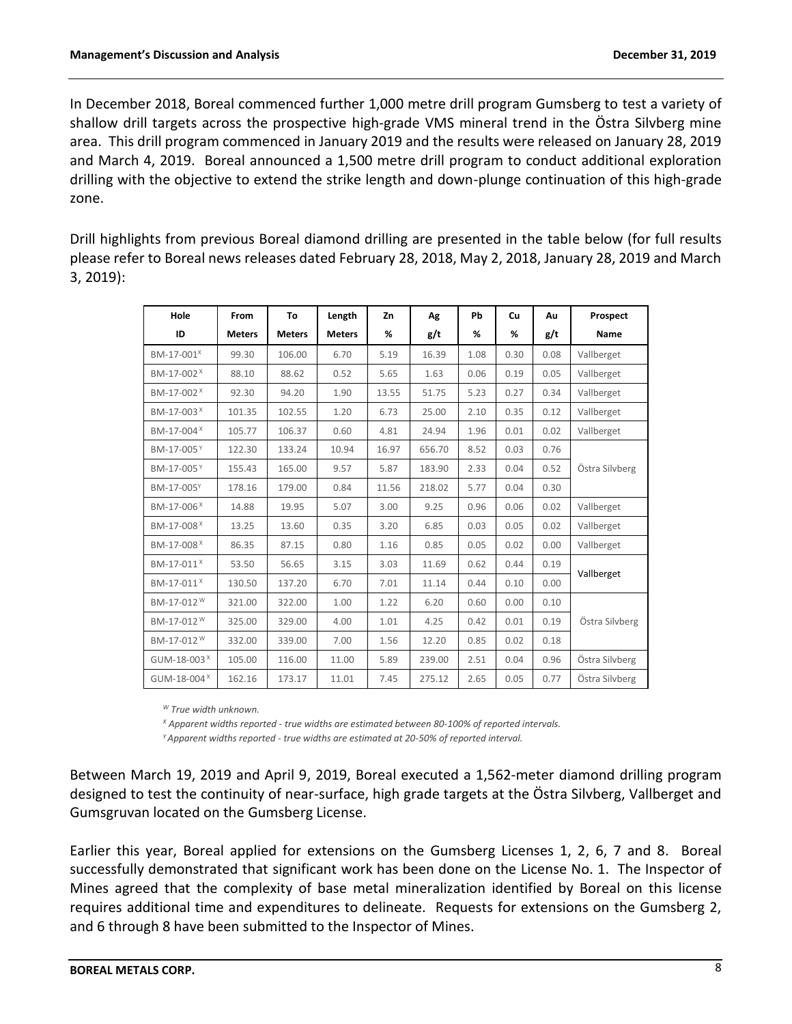In December 2018, Boreal commenced further 1,000 metre drill program Gumsberg to test a variety of shallow drill targets across the prospective high-grade VMS mineral trend in the Östra Silvberg mine area. This drill program commenced in January 2019 and the results were released on January 28, 2019 and March 4, 2019. Boreal announced a 1,500 metre drill program to conduct additional exploration drilling with the objective to extend the strike length and down-plunge continuation of this high-grade zone.

Drill highlights from previous Boreal diamond drilling are presented in the table below (for full results please refer to Boreal news releases dated February 28, 2018, May 2, 2018, January 28, 2019 and March 3, 2019):

| Hole                    | From          | To            | Length        | Zn    | Ag     | Pb   | Cu   | Au   | Prospect       |
|-------------------------|---------------|---------------|---------------|-------|--------|------|------|------|----------------|
| ID                      | <b>Meters</b> | <b>Meters</b> | <b>Meters</b> | %     | g/t    | %    | %    | g/t  | Name           |
| BM-17-001 <sup>X</sup>  | 99.30         | 106.00        | 6.70          | 5.19  | 16.39  | 1.08 | 0.30 | 0.08 | Vallberget     |
| BM-17-002 <sup>×</sup>  | 88.10         | 88.62         | 0.52          | 5.65  | 1.63   | 0.06 | 0.19 | 0.05 | Vallberget     |
| BM-17-002 <sup>×</sup>  | 92.30         | 94.20         | 1.90          | 13.55 | 51.75  | 5.23 | 0.27 | 0.34 | Vallberget     |
| BM-17-003 <sup>X</sup>  | 101.35        | 102.55        | 1.20          | 6.73  | 25.00  | 2.10 | 0.35 | 0.12 | Vallberget     |
| BM-17-004 <sup>X</sup>  | 105.77        | 106.37        | 0.60          | 4.81  | 24.94  | 1.96 | 0.01 | 0.02 | Vallberget     |
| BM-17-005Y              | 122.30        | 133.24        | 10.94         | 16.97 | 656.70 | 8.52 | 0.03 | 0.76 |                |
| BM-17-005 <sup>Y</sup>  | 155.43        | 165.00        | 9.57          | 5.87  | 183.90 | 2.33 | 0.04 | 0.52 | Östra Silvberg |
| BM-17-005Y              | 178.16        | 179.00        | 0.84          | 11.56 | 218.02 | 5.77 | 0.04 | 0.30 |                |
| BM-17-006 <sup>X</sup>  | 14.88         | 19.95         | 5.07          | 3.00  | 9.25   | 0.96 | 0.06 | 0.02 | Vallberget     |
| BM-17-008 <sup>X</sup>  | 13.25         | 13.60         | 0.35          | 3.20  | 6.85   | 0.03 | 0.05 | 0.02 | Vallberget     |
| BM-17-008 <sup>X</sup>  | 86.35         | 87.15         | 0.80          | 1.16  | 0.85   | 0.05 | 0.02 | 0.00 | Vallberget     |
| BM-17-011 <sup>X</sup>  | 53.50         | 56.65         | 3.15          | 3.03  | 11.69  | 0.62 | 0.44 | 0.19 |                |
| BM-17-011 <sup>X</sup>  | 130.50        | 137.20        | 6.70          | 7.01  | 11.14  | 0.44 | 0.10 | 0.00 | Vallberget     |
| BM-17-012 <sup>W</sup>  | 321.00        | 322.00        | 1.00          | 1.22  | 6.20   | 0.60 | 0.00 | 0.10 |                |
| BM-17-012 <sup>W</sup>  | 325.00        | 329.00        | 4.00          | 1.01  | 4.25   | 0.42 | 0.01 | 0.19 | Östra Silvberg |
| BM-17-012 <sup>W</sup>  | 332.00        | 339.00        | 7.00          | 1.56  | 12.20  | 0.85 | 0.02 | 0.18 |                |
| GUM-18-003 <sup>X</sup> | 105.00        | 116.00        | 11.00         | 5.89  | 239.00 | 2.51 | 0.04 | 0.96 | Östra Silvberg |
| GUM-18-004 <sup>X</sup> | 162.16        | 173.17        | 11.01         | 7.45  | 275.12 | 2.65 | 0.05 | 0.77 | Östra Silvberg |

*<sup>W</sup> True width unknown.*

*<sup>X</sup> Apparent widths reported - true widths are estimated between 80-100% of reported intervals. <sup>Y</sup>Apparent widths reported - true widths are estimated at 20-50% of reported interval.*

Between March 19, 2019 and April 9, 2019, Boreal executed a 1,562-meter diamond drilling program designed to test the continuity of near-surface, high grade targets at the Östra Silvberg, Vallberget and Gumsgruvan located on the Gumsberg License.

Earlier this year, Boreal applied for extensions on the Gumsberg Licenses 1, 2, 6, 7 and 8. Boreal successfully demonstrated that significant work has been done on the License No. 1. The Inspector of Mines agreed that the complexity of base metal mineralization identified by Boreal on this license requires additional time and expenditures to delineate. Requests for extensions on the Gumsberg 2, and 6 through 8 have been submitted to the Inspector of Mines.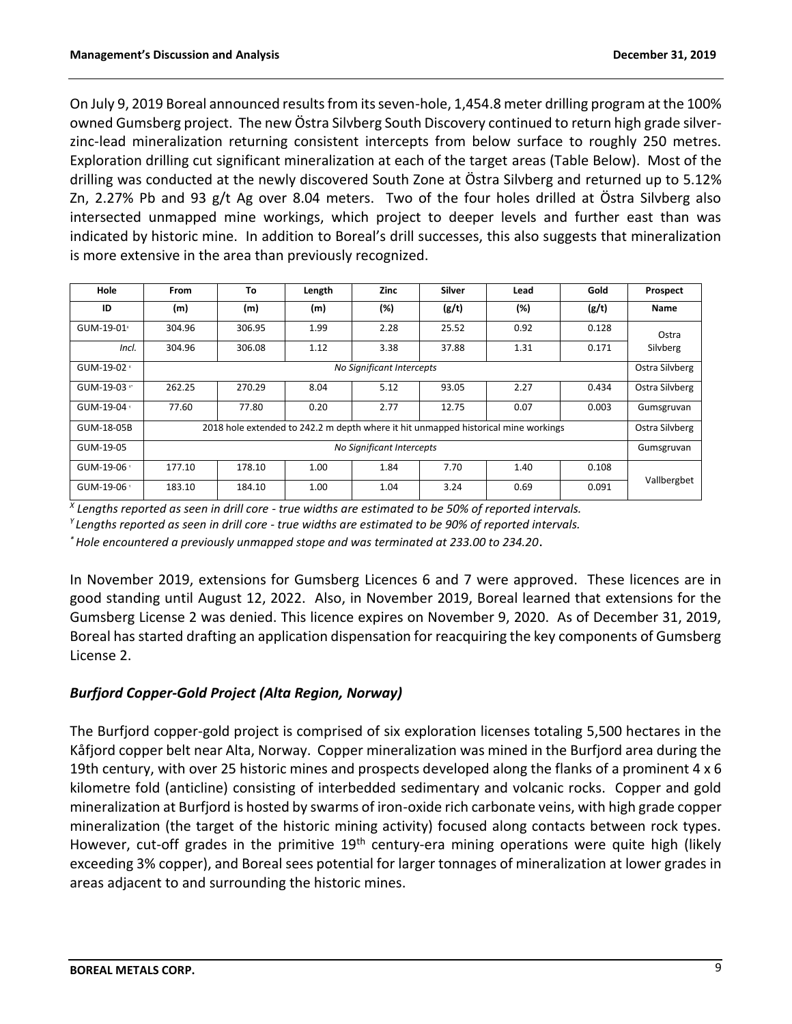On July 9, 2019 Boreal announced results from its seven-hole, 1,454.8 meter drilling program at the 100% owned Gumsberg project. The new Östra Silvberg South Discovery continued to return high grade silverzinc-lead mineralization returning consistent intercepts from below surface to roughly 250 metres. Exploration drilling cut significant mineralization at each of the target areas (Table Below). Most of the drilling was conducted at the newly discovered South Zone at Östra Silvberg and returned up to 5.12% Zn, 2.27% Pb and 93 g/t Ag over 8.04 meters. Two of the four holes drilled at Östra Silvberg also intersected unmapped mine workings, which project to deeper levels and further east than was indicated by historic mine. In addition to Boreal's drill successes, this also suggests that mineralization is more extensive in the area than previously recognized.

| <b>Hole</b>              | <b>From</b> | To                                          | Length | Zinc | Silver | Lead                                                                               | Gold  | Prospect       |
|--------------------------|-------------|---------------------------------------------|--------|------|--------|------------------------------------------------------------------------------------|-------|----------------|
| ID                       | (m)         | (m)                                         | (m)    | (%)  | (g/t)  | (%)                                                                                | (g/t) | Name           |
| GUM-19-01 <sup>x</sup>   | 304.96      | 306.95                                      | 1.99   | 2.28 | 25.52  | 0.92                                                                               | 0.128 | Ostra          |
| Incl.                    | 304.96      | 306.08                                      | 1.12   | 3.38 | 37.88  | 1.31                                                                               | 0.171 | Silvberg       |
| GUM-19-02 ×              |             | No Significant Intercepts<br>Ostra Silvberg |        |      |        |                                                                                    |       |                |
| GUM-19-03 x <sup>+</sup> | 262.25      | 270.29                                      | 8.04   | 5.12 | 93.05  | 2.27                                                                               | 0.434 | Ostra Silvberg |
| GUM-19-04 *              | 77.60       | 77.80                                       | 0.20   | 2.77 | 12.75  | 0.07                                                                               | 0.003 | Gumsgruvan     |
| GUM-18-05B               |             |                                             |        |      |        | 2018 hole extended to 242.2 m depth where it hit unmapped historical mine workings |       | Ostra Silvberg |
| GUM-19-05                |             | No Significant Intercepts                   |        |      |        |                                                                                    |       | Gumsgruvan     |
| GUM-19-06 $7$            | 177.10      | 178.10                                      | 1.00   | 1.84 | 7.70   | 1.40                                                                               | 0.108 |                |
| GUM-19-06 *              | 183.10      | 184.10                                      | 1.00   | 1.04 | 3.24   | 0.69                                                                               | 0.091 | Vallbergbet    |

*X Lengths reported as seen in drill core - true widths are estimated to be 50% of reported intervals.*

*<sup>Y</sup>Lengths reported as seen in drill core - true widths are estimated to be 90% of reported intervals.*

*\* Hole encountered a previously unmapped stope and was terminated at 233.00 to 234.20*.

In November 2019, extensions for Gumsberg Licences 6 and 7 were approved. These licences are in good standing until August 12, 2022. Also, in November 2019, Boreal learned that extensions for the Gumsberg License 2 was denied. This licence expires on November 9, 2020. As of December 31, 2019, Boreal has started drafting an application dispensation for reacquiring the key components of Gumsberg License 2.

## *Burfjord Copper-Gold Project (Alta Region, Norway)*

The Burfjord copper-gold project is comprised of six exploration licenses totaling 5,500 hectares in the Kåfjord copper belt near Alta, Norway. Copper mineralization was mined in the Burfjord area during the 19th century, with over 25 historic mines and prospects developed along the flanks of a prominent 4 x 6 kilometre fold (anticline) consisting of interbedded sedimentary and volcanic rocks. Copper and gold mineralization at Burfjord is hosted by swarms of iron-oxide rich carbonate veins, with high grade copper mineralization (the target of the historic mining activity) focused along contacts between rock types. However, cut-off grades in the primitive  $19<sup>th</sup>$  century-era mining operations were quite high (likely exceeding 3% copper), and Boreal sees potential for larger tonnages of mineralization at lower grades in areas adjacent to and surrounding the historic mines.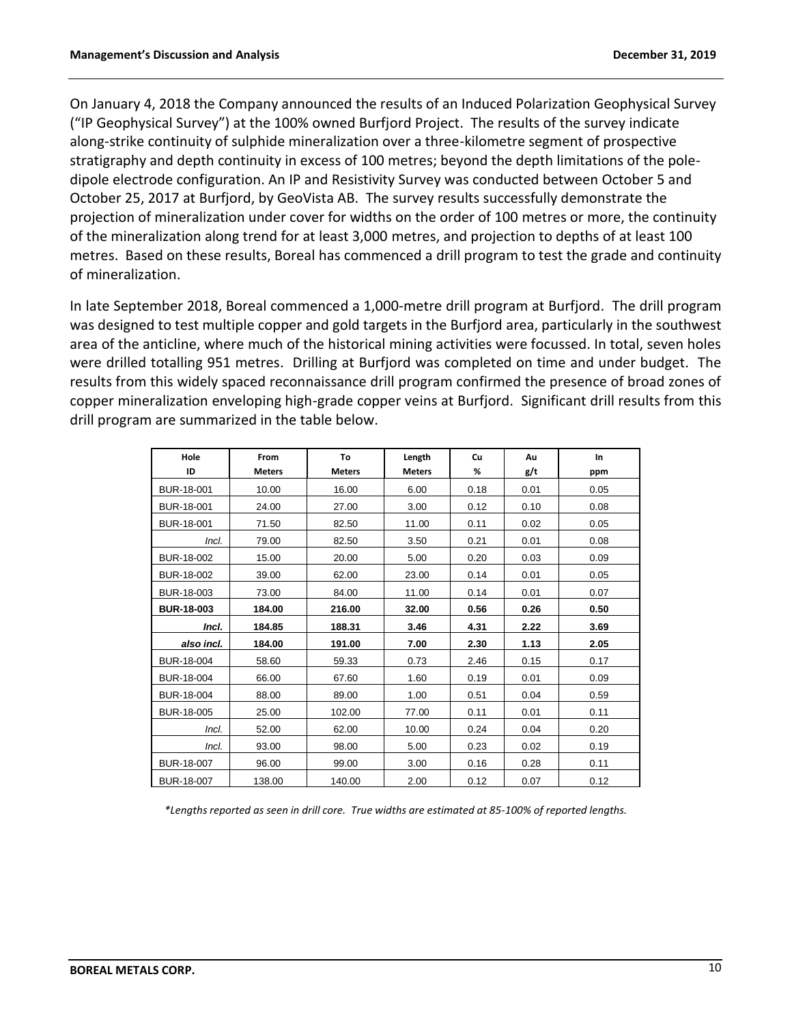On January 4, 2018 the Company announced the results of an Induced Polarization Geophysical Survey ("IP Geophysical Survey") at the 100% owned Burfjord Project. The results of the survey indicate along-strike continuity of sulphide mineralization over a three-kilometre segment of prospective stratigraphy and depth continuity in excess of 100 metres; beyond the depth limitations of the poledipole electrode configuration. An IP and Resistivity Survey was conducted between October 5 and October 25, 2017 at Burfjord, by GeoVista AB. The survey results successfully demonstrate the projection of mineralization under cover for widths on the order of 100 metres or more, the continuity of the mineralization along trend for at least 3,000 metres, and projection to depths of at least 100 metres. Based on these results, Boreal has commenced a drill program to test the grade and continuity of mineralization.

In late September 2018, Boreal commenced a 1,000-metre drill program at Burfjord. The drill program was designed to test multiple copper and gold targets in the Burfjord area, particularly in the southwest area of the anticline, where much of the historical mining activities were focussed. In total, seven holes were drilled totalling 951 metres. Drilling at Burfjord was completed on time and under budget. The results from this widely spaced reconnaissance drill program confirmed the presence of broad zones of copper mineralization enveloping high-grade copper veins at Burfjord. Significant drill results from this drill program are summarized in the table below.

| Hole<br>ID        | From<br><b>Meters</b> | To<br><b>Meters</b> | Length<br><b>Meters</b> | Cu<br>% | Au<br>g/t | <b>In</b><br>ppm |
|-------------------|-----------------------|---------------------|-------------------------|---------|-----------|------------------|
| BUR-18-001        | 10.00                 | 16.00               | 6.00                    | 0.18    | 0.01      | 0.05             |
| BUR-18-001        | 24.00                 | 27.00               | 3.00                    | 0.12    | 0.10      | 0.08             |
| BUR-18-001        | 71.50                 | 82.50               | 11.00                   | 0.11    | 0.02      | 0.05             |
| Incl.             | 79.00                 | 82.50               | 3.50                    | 0.21    | 0.01      | 0.08             |
| BUR-18-002        | 15.00                 | 20.00               | 5.00                    | 0.20    | 0.03      | 0.09             |
| BUR-18-002        | 39.00                 | 62.00               | 23.00                   | 0.14    | 0.01      | 0.05             |
| BUR-18-003        | 73.00                 | 84.00               | 11.00                   | 0.14    | 0.01      | 0.07             |
| <b>BUR-18-003</b> | 184.00                | 216.00              | 32.00                   | 0.56    | 0.26      | 0.50             |
| Incl.             | 184.85                | 188.31              | 3.46                    | 4.31    | 2.22      | 3.69             |
| also incl.        | 184.00                | 191.00              | 7.00                    | 2.30    | 1.13      | 2.05             |
| BUR-18-004        | 58.60                 | 59.33               | 0.73                    | 2.46    | 0.15      | 0.17             |
| BUR-18-004        | 66.00                 | 67.60               | 1.60                    | 0.19    | 0.01      | 0.09             |
| BUR-18-004        | 88.00                 | 89.00               | 1.00                    | 0.51    | 0.04      | 0.59             |
| BUR-18-005        | 25.00                 | 102.00              | 77.00                   | 0.11    | 0.01      | 0.11             |
| Incl.             | 52.00                 | 62.00               | 10.00                   | 0.24    | 0.04      | 0.20             |
| Incl.             | 93.00                 | 98.00               | 5.00                    | 0.23    | 0.02      | 0.19             |
| BUR-18-007        | 96.00                 | 99.00               | 3.00                    | 0.16    | 0.28      | 0.11             |
| BUR-18-007        | 138.00                | 140.00              | 2.00                    | 0.12    | 0.07      | 0.12             |

*\*Lengths reported as seen in drill core. True widths are estimated at 85-100% of reported lengths.*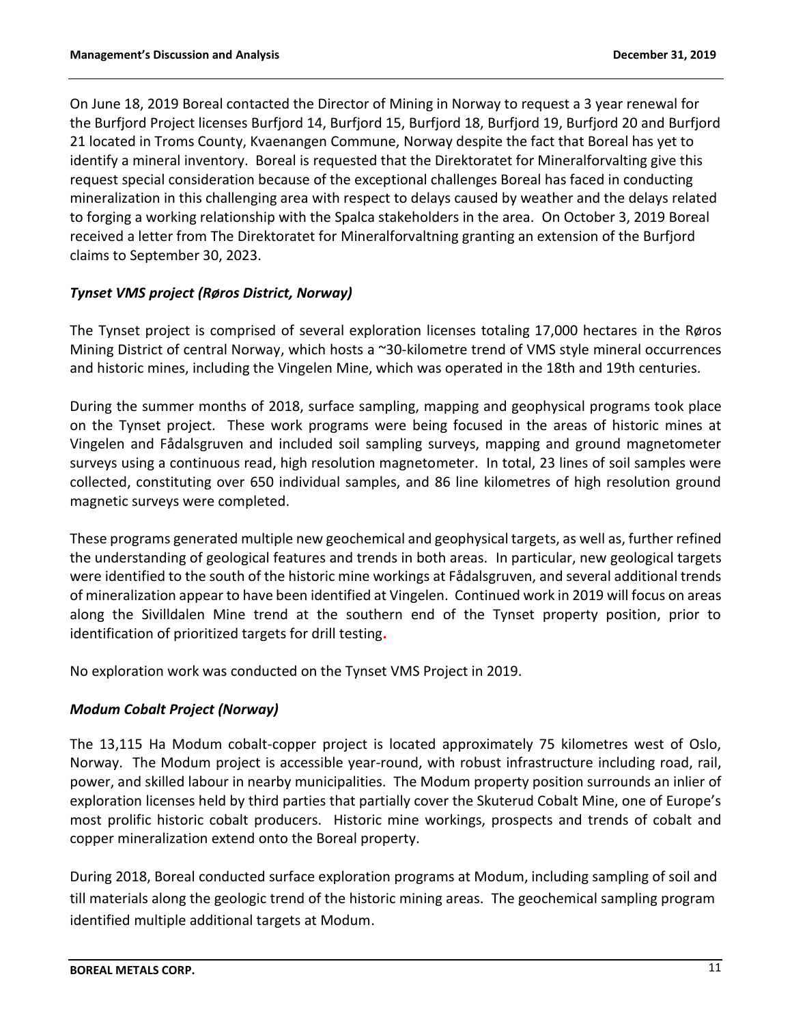On June 18, 2019 Boreal contacted the Director of Mining in Norway to request a 3 year renewal for the Burfjord Project licenses Burfjord 14, Burfjord 15, Burfjord 18, Burfjord 19, Burfjord 20 and Burfjord 21 located in Troms County, Kvaenangen Commune, Norway despite the fact that Boreal has yet to identify a mineral inventory. Boreal is requested that the Direktoratet for Mineralforvalting give this request special consideration because of the exceptional challenges Boreal has faced in conducting mineralization in this challenging area with respect to delays caused by weather and the delays related to forging a working relationship with the Spalca stakeholders in the area. On October 3, 2019 Boreal received a letter from The Direktoratet for Mineralforvaltning granting an extension of the Burfjord claims to September 30, 2023.

# *Tynset VMS project (Røros District, Norway)*

The Tynset project is comprised of several exploration licenses totaling 17,000 hectares in the Røros Mining District of central Norway, which hosts a ~30-kilometre trend of VMS style mineral occurrences and historic mines, including the Vingelen Mine, which was operated in the 18th and 19th centuries.

During the summer months of 2018, surface sampling, mapping and geophysical programs took place on the Tynset project. These work programs were being focused in the areas of historic mines at Vingelen and Fådalsgruven and included soil sampling surveys, mapping and ground magnetometer surveys using a continuous read, high resolution magnetometer. In total, 23 lines of soil samples were collected, constituting over 650 individual samples, and 86 line kilometres of high resolution ground magnetic surveys were completed.

These programs generated multiple new geochemical and geophysical targets, as well as, further refined the understanding of geological features and trends in both areas. In particular, new geological targets were identified to the south of the historic mine workings at Fådalsgruven, and several additional trends of mineralization appear to have been identified at Vingelen. Continued work in 2019 will focus on areas along the Sivilldalen Mine trend at the southern end of the Tynset property position, prior to identification of prioritized targets for drill testing**.** 

No exploration work was conducted on the Tynset VMS Project in 2019.

## *Modum Cobalt Project (Norway)*

The 13,115 Ha Modum cobalt-copper project is located approximately 75 kilometres west of Oslo, Norway. The Modum project is accessible year-round, with robust infrastructure including road, rail, power, and skilled labour in nearby municipalities. The Modum property position surrounds an inlier of exploration licenses held by third parties that partially cover the Skuterud Cobalt Mine, one of Europe's most prolific historic cobalt producers. Historic mine workings, prospects and trends of cobalt and copper mineralization extend onto the Boreal property.

During 2018, Boreal conducted surface exploration programs at Modum, including sampling of soil and till materials along the geologic trend of the historic mining areas. The geochemical sampling program identified multiple additional targets at Modum.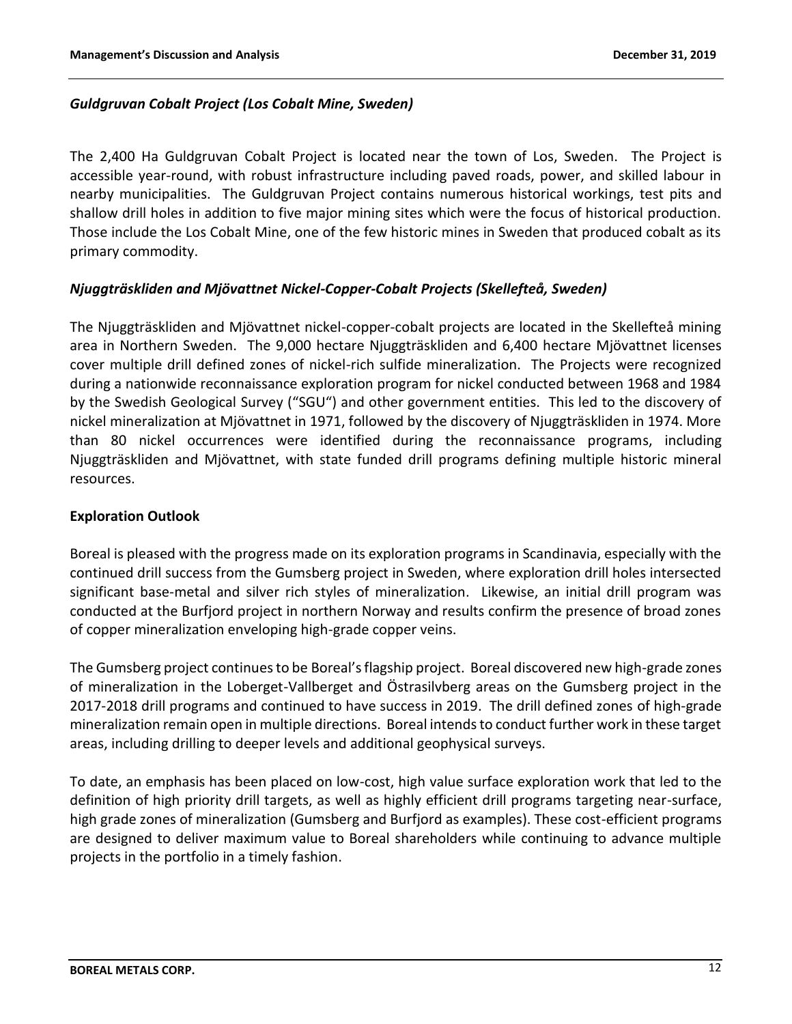## *Guldgruvan Cobalt Project (Los Cobalt Mine, Sweden)*

The 2,400 Ha Guldgruvan Cobalt Project is located near the town of Los, Sweden. The Project is accessible year-round, with robust infrastructure including paved roads, power, and skilled labour in nearby municipalities. The Guldgruvan Project contains numerous historical workings, test pits and shallow drill holes in addition to five major mining sites which were the focus of historical production. Those include the Los Cobalt Mine, one of the few historic mines in Sweden that produced cobalt as its primary commodity.

## *Njuggträskliden and Mjövattnet Nickel-Copper-Cobalt Projects (Skellefteå, Sweden)*

The Njuggträskliden and Mjövattnet nickel-copper-cobalt projects are located in the Skellefteå mining area in Northern Sweden. The 9,000 hectare Njuggträskliden and 6,400 hectare Mjövattnet licenses cover multiple drill defined zones of nickel-rich sulfide mineralization. The Projects were recognized during a nationwide reconnaissance exploration program for nickel conducted between 1968 and 1984 by the Swedish Geological Survey ("SGU") and other government entities. This led to the discovery of nickel mineralization at Mjövattnet in 1971, followed by the discovery of Njuggträskliden in 1974. More than 80 nickel occurrences were identified during the reconnaissance programs, including Njuggträskliden and Mjövattnet, with state funded drill programs defining multiple historic mineral resources.

### **Exploration Outlook**

Boreal is pleased with the progress made on its exploration programs in Scandinavia, especially with the continued drill success from the Gumsberg project in Sweden, where exploration drill holes intersected significant base-metal and silver rich styles of mineralization. Likewise, an initial drill program was conducted at the Burfjord project in northern Norway and results confirm the presence of broad zones of copper mineralization enveloping high-grade copper veins.

The Gumsberg project continues to be Boreal's flagship project. Boreal discovered new high-grade zones of mineralization in the Loberget-Vallberget and Östrasilvberg areas on the Gumsberg project in the 2017-2018 drill programs and continued to have success in 2019. The drill defined zones of high-grade mineralization remain open in multiple directions. Boreal intends to conduct further work in these target areas, including drilling to deeper levels and additional geophysical surveys.

To date, an emphasis has been placed on low-cost, high value surface exploration work that led to the definition of high priority drill targets, as well as highly efficient drill programs targeting near-surface, high grade zones of mineralization (Gumsberg and Burfjord as examples). These cost-efficient programs are designed to deliver maximum value to Boreal shareholders while continuing to advance multiple projects in the portfolio in a timely fashion.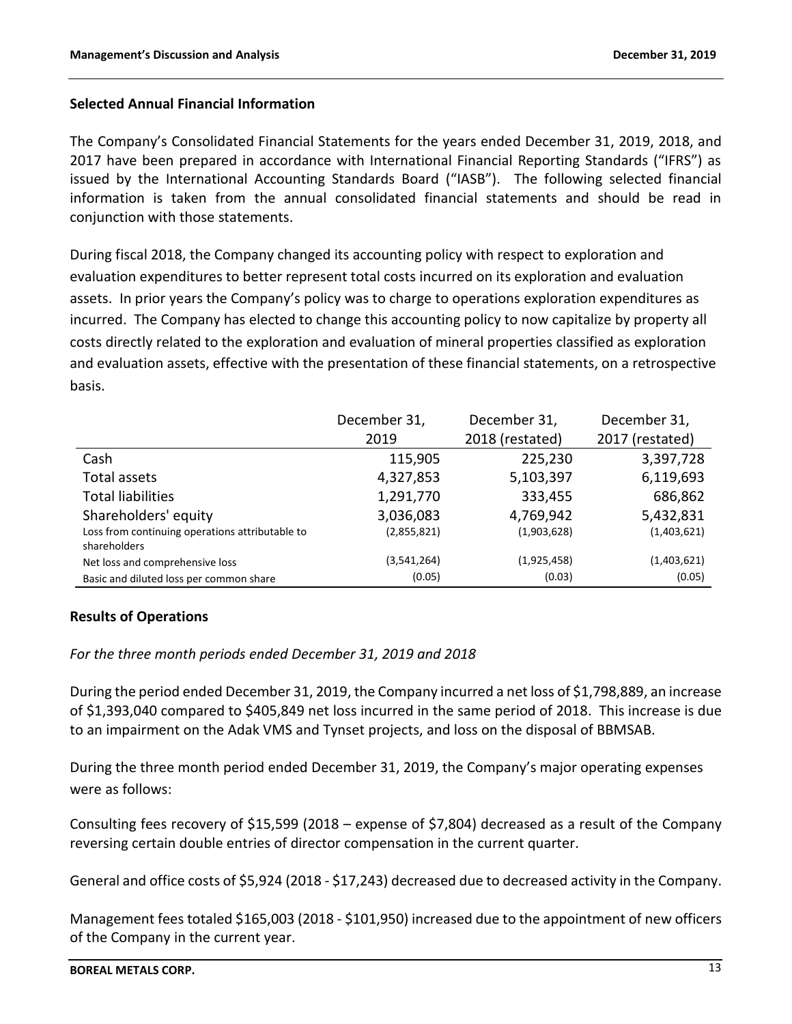## **Selected Annual Financial Information**

The Company's Consolidated Financial Statements for the years ended December 31, 2019, 2018, and 2017 have been prepared in accordance with International Financial Reporting Standards ("IFRS") as issued by the International Accounting Standards Board ("IASB"). The following selected financial information is taken from the annual consolidated financial statements and should be read in conjunction with those statements.

During fiscal 2018, the Company changed its accounting policy with respect to exploration and evaluation expenditures to better represent total costs incurred on its exploration and evaluation assets. In prior years the Company's policy was to charge to operations exploration expenditures as incurred. The Company has elected to change this accounting policy to now capitalize by property all costs directly related to the exploration and evaluation of mineral properties classified as exploration and evaluation assets, effective with the presentation of these financial statements, on a retrospective basis.

|                                                                 | December 31, | December 31,    | December 31,    |
|-----------------------------------------------------------------|--------------|-----------------|-----------------|
|                                                                 | 2019         | 2018 (restated) | 2017 (restated) |
| Cash                                                            | 115,905      | 225,230         | 3,397,728       |
| Total assets                                                    | 4,327,853    | 5,103,397       | 6,119,693       |
| <b>Total liabilities</b>                                        | 1,291,770    | 333,455         | 686,862         |
| Shareholders' equity                                            | 3,036,083    | 4,769,942       | 5,432,831       |
| Loss from continuing operations attributable to<br>shareholders | (2,855,821)  | (1,903,628)     | (1,403,621)     |
| Net loss and comprehensive loss                                 | (3,541,264)  | (1,925,458)     | (1,403,621)     |
| Basic and diluted loss per common share                         | (0.05)       | (0.03)          | (0.05)          |

## **Results of Operations**

*For the three month periods ended December 31, 2019 and 2018*

During the period ended December 31, 2019, the Company incurred a net loss of \$1,798,889, an increase of \$1,393,040 compared to \$405,849 net loss incurred in the same period of 2018. This increase is due to an impairment on the Adak VMS and Tynset projects, and loss on the disposal of BBMSAB.

During the three month period ended December 31, 2019, the Company's major operating expenses were as follows:

Consulting fees recovery of \$15,599 (2018 – expense of \$7,804) decreased as a result of the Company reversing certain double entries of director compensation in the current quarter.

General and office costs of \$5,924 (2018 - \$17,243) decreased due to decreased activity in the Company.

Management fees totaled \$165,003 (2018 - \$101,950) increased due to the appointment of new officers of the Company in the current year.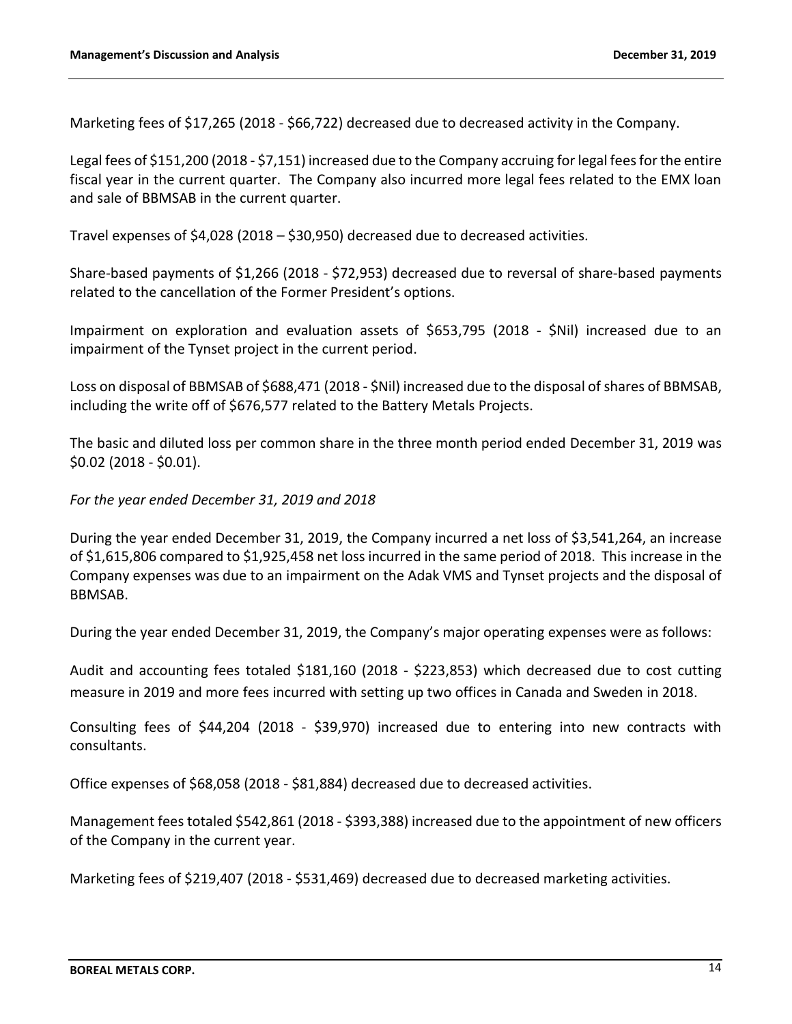Marketing fees of \$17,265 (2018 - \$66,722) decreased due to decreased activity in the Company.

Legal fees of \$151,200 (2018 - \$7,151) increased due to the Company accruing for legal fees for the entire fiscal year in the current quarter. The Company also incurred more legal fees related to the EMX loan and sale of BBMSAB in the current quarter.

Travel expenses of \$4,028 (2018 – \$30,950) decreased due to decreased activities.

Share-based payments of \$1,266 (2018 - \$72,953) decreased due to reversal of share-based payments related to the cancellation of the Former President's options.

Impairment on exploration and evaluation assets of \$653,795 (2018 - \$Nil) increased due to an impairment of the Tynset project in the current period.

Loss on disposal of BBMSAB of \$688,471 (2018 - \$Nil) increased due to the disposal of shares of BBMSAB, including the write off of \$676,577 related to the Battery Metals Projects.

The basic and diluted loss per common share in the three month period ended December 31, 2019 was \$0.02 (2018 - \$0.01).

### *For the year ended December 31, 2019 and 2018*

During the year ended December 31, 2019, the Company incurred a net loss of \$3,541,264, an increase of \$1,615,806 compared to \$1,925,458 net loss incurred in the same period of 2018. This increase in the Company expenses was due to an impairment on the Adak VMS and Tynset projects and the disposal of BBMSAB.

During the year ended December 31, 2019, the Company's major operating expenses were as follows:

Audit and accounting fees totaled \$181,160 (2018 - \$223,853) which decreased due to cost cutting measure in 2019 and more fees incurred with setting up two offices in Canada and Sweden in 2018.

Consulting fees of \$44,204 (2018 - \$39,970) increased due to entering into new contracts with consultants.

Office expenses of \$68,058 (2018 - \$81,884) decreased due to decreased activities.

Management fees totaled \$542,861 (2018 - \$393,388) increased due to the appointment of new officers of the Company in the current year.

Marketing fees of \$219,407 (2018 - \$531,469) decreased due to decreased marketing activities.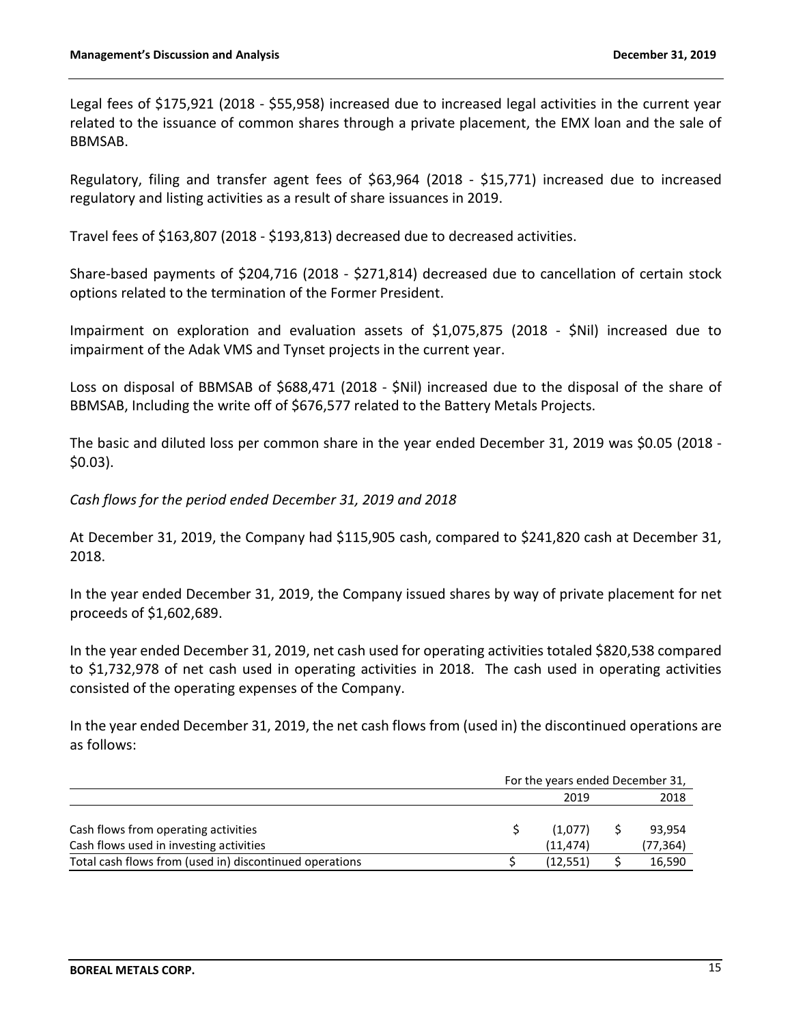Legal fees of \$175,921 (2018 - \$55,958) increased due to increased legal activities in the current year related to the issuance of common shares through a private placement, the EMX loan and the sale of BBMSAB.

Regulatory, filing and transfer agent fees of \$63,964 (2018 - \$15,771) increased due to increased regulatory and listing activities as a result of share issuances in 2019.

Travel fees of \$163,807 (2018 - \$193,813) decreased due to decreased activities.

Share-based payments of \$204,716 (2018 - \$271,814) decreased due to cancellation of certain stock options related to the termination of the Former President.

Impairment on exploration and evaluation assets of \$1,075,875 (2018 - \$Nil) increased due to impairment of the Adak VMS and Tynset projects in the current year.

Loss on disposal of BBMSAB of \$688,471 (2018 - \$Nil) increased due to the disposal of the share of BBMSAB, Including the write off of \$676,577 related to the Battery Metals Projects.

The basic and diluted loss per common share in the year ended December 31, 2019 was \$0.05 (2018 - \$0.03).

*Cash flows for the period ended December 31, 2019 and 2018*

At December 31, 2019, the Company had \$115,905 cash, compared to \$241,820 cash at December 31, 2018.

In the year ended December 31, 2019, the Company issued shares by way of private placement for net proceeds of \$1,602,689.

In the year ended December 31, 2019, net cash used for operating activities totaled \$820,538 compared to \$1,732,978 of net cash used in operating activities in 2018. The cash used in operating activities consisted of the operating expenses of the Company.

In the year ended December 31, 2019, the net cash flows from (used in) the discontinued operations are as follows:

|                                                         | For the years ended December 31, |           |
|---------------------------------------------------------|----------------------------------|-----------|
|                                                         | 2019                             | 2018      |
|                                                         |                                  |           |
| Cash flows from operating activities                    | (1.077)                          | 93,954    |
| Cash flows used in investing activities                 | (11.474)                         | (77, 364) |
| Total cash flows from (used in) discontinued operations | (12,551)                         | 16,590    |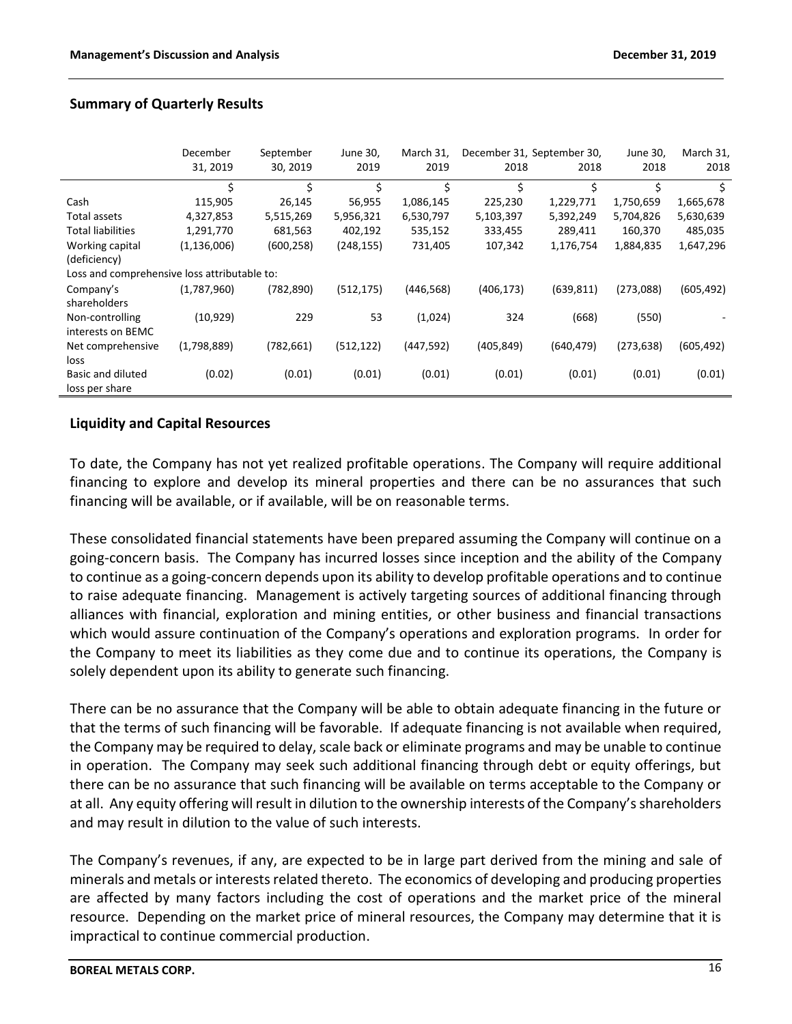|                                              | December      | September  | June 30,   | March 31,  |            | December 31, September 30, | June 30,   | March 31,  |
|----------------------------------------------|---------------|------------|------------|------------|------------|----------------------------|------------|------------|
|                                              | 31, 2019      | 30, 2019   | 2019       | 2019       | 2018       | 2018                       | 2018       | 2018       |
|                                              | \$            | \$         | \$         | \$         | \$         | Ś.                         | \$         | Ŝ.         |
| Cash                                         | 115,905       | 26,145     | 56,955     | 1,086,145  | 225,230    | 1,229,771                  | 1,750,659  | 1,665,678  |
| Total assets                                 | 4,327,853     | 5,515,269  | 5,956,321  | 6,530,797  | 5,103,397  | 5,392,249                  | 5,704,826  | 5,630,639  |
| <b>Total liabilities</b>                     | 1,291,770     | 681,563    | 402,192    | 535,152    | 333,455    | 289,411                    | 160,370    | 485,035    |
| Working capital                              | (1, 136, 006) | (600, 258) | (248, 155) | 731,405    | 107,342    | 1,176,754                  | 1,884,835  | 1,647,296  |
| (deficiency)                                 |               |            |            |            |            |                            |            |            |
| Loss and comprehensive loss attributable to: |               |            |            |            |            |                            |            |            |
| Company's                                    | (1,787,960)   | (782, 890) | (512, 175) | (446, 568) | (406, 173) | (639, 811)                 | (273,088)  | (605, 492) |
| shareholders                                 |               |            |            |            |            |                            |            |            |
| Non-controlling                              | (10, 929)     | 229        | 53         | (1,024)    | 324        | (668)                      | (550)      |            |
| interests on BEMC                            |               |            |            |            |            |                            |            |            |
| Net comprehensive                            | (1,798,889)   | (782, 661) | (512, 122) | (447,592)  | (405, 849) | (640, 479)                 | (273, 638) | (605, 492) |
| loss                                         |               |            |            |            |            |                            |            |            |
| Basic and diluted                            | (0.02)        | (0.01)     | (0.01)     | (0.01)     | (0.01)     | (0.01)                     | (0.01)     | (0.01)     |
| loss per share                               |               |            |            |            |            |                            |            |            |

### **Summary of Quarterly Results**

### **Liquidity and Capital Resources**

To date, the Company has not yet realized profitable operations. The Company will require additional financing to explore and develop its mineral properties and there can be no assurances that such financing will be available, or if available, will be on reasonable terms.

These consolidated financial statements have been prepared assuming the Company will continue on a going-concern basis. The Company has incurred losses since inception and the ability of the Company to continue as a going-concern depends upon its ability to develop profitable operations and to continue to raise adequate financing. Management is actively targeting sources of additional financing through alliances with financial, exploration and mining entities, or other business and financial transactions which would assure continuation of the Company's operations and exploration programs. In order for the Company to meet its liabilities as they come due and to continue its operations, the Company is solely dependent upon its ability to generate such financing.

There can be no assurance that the Company will be able to obtain adequate financing in the future or that the terms of such financing will be favorable. If adequate financing is not available when required, the Company may be required to delay, scale back or eliminate programs and may be unable to continue in operation. The Company may seek such additional financing through debt or equity offerings, but there can be no assurance that such financing will be available on terms acceptable to the Company or at all. Any equity offering will result in dilution to the ownership interests of the Company's shareholders and may result in dilution to the value of such interests.

The Company's revenues, if any, are expected to be in large part derived from the mining and sale of minerals and metals or interests related thereto. The economics of developing and producing properties are affected by many factors including the cost of operations and the market price of the mineral resource. Depending on the market price of mineral resources, the Company may determine that it is impractical to continue commercial production.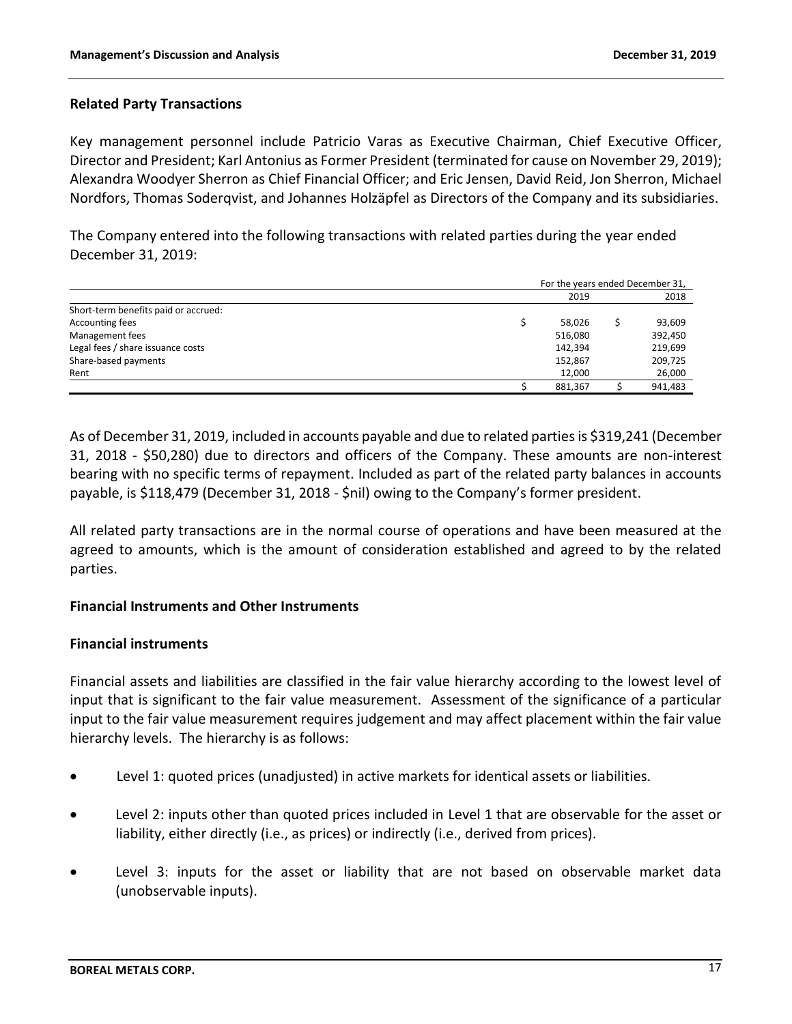### **Related Party Transactions**

Key management personnel include Patricio Varas as Executive Chairman, Chief Executive Officer, Director and President; Karl Antonius as Former President (terminated for cause on November 29, 2019); Alexandra Woodyer Sherron as Chief Financial Officer; and Eric Jensen, David Reid, Jon Sherron, Michael Nordfors, Thomas Soderqvist, and Johannes Holzäpfel as Directors of the Company and its subsidiaries.

The Company entered into the following transactions with related parties during the year ended December 31, 2019:

|                                      | For the years ended December 31, |         |
|--------------------------------------|----------------------------------|---------|
|                                      | 2019                             | 2018    |
| Short-term benefits paid or accrued: |                                  |         |
| Accounting fees                      | 58,026                           | 93,609  |
| Management fees                      | 516,080                          | 392,450 |
| Legal fees / share issuance costs    | 142.394                          | 219,699 |
| Share-based payments                 | 152,867                          | 209,725 |
| Rent                                 | 12,000                           | 26,000  |
|                                      | 881,367                          | 941,483 |

As of December 31, 2019, included in accounts payable and due to related partiesis \$319,241 (December 31, 2018 - \$50,280) due to directors and officers of the Company. These amounts are non-interest bearing with no specific terms of repayment. Included as part of the related party balances in accounts payable, is \$118,479 (December 31, 2018 - \$nil) owing to the Company's former president.

All related party transactions are in the normal course of operations and have been measured at the agreed to amounts, which is the amount of consideration established and agreed to by the related parties.

### **Financial Instruments and Other Instruments**

### **Financial instruments**

Financial assets and liabilities are classified in the fair value hierarchy according to the lowest level of input that is significant to the fair value measurement. Assessment of the significance of a particular input to the fair value measurement requires judgement and may affect placement within the fair value hierarchy levels. The hierarchy is as follows:

- Level 1: quoted prices (unadjusted) in active markets for identical assets or liabilities.
- Level 2: inputs other than quoted prices included in Level 1 that are observable for the asset or liability, either directly (i.e., as prices) or indirectly (i.e., derived from prices).
- Level 3: inputs for the asset or liability that are not based on observable market data (unobservable inputs).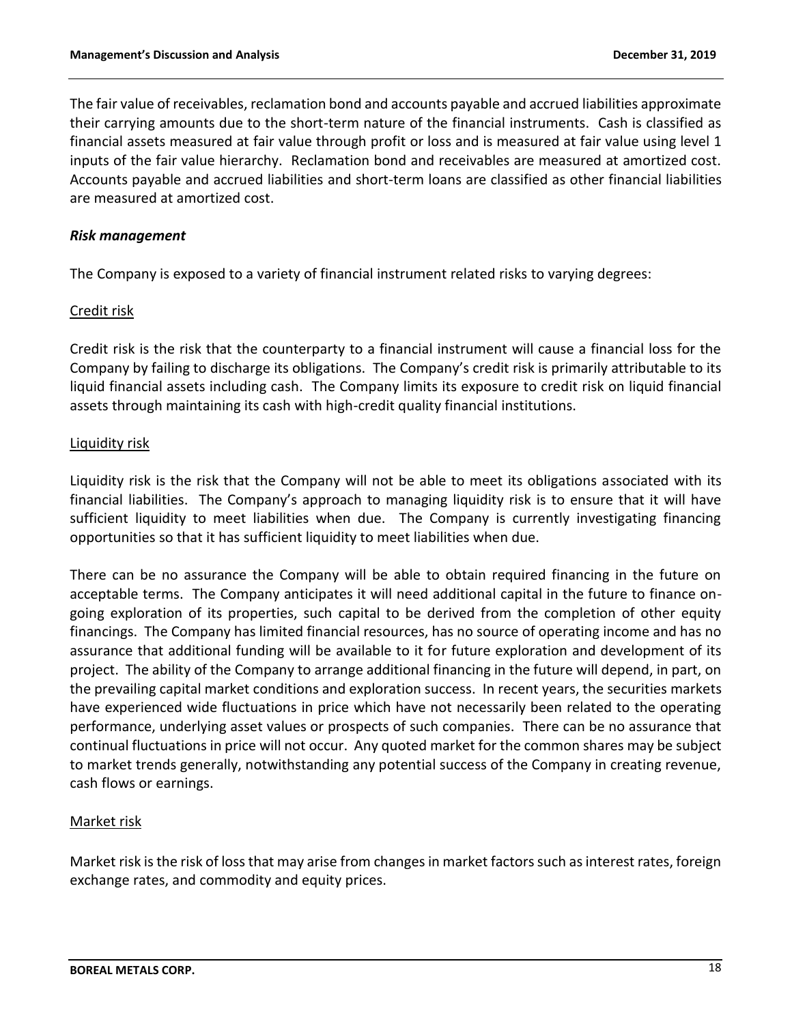The fair value of receivables, reclamation bond and accounts payable and accrued liabilities approximate their carrying amounts due to the short-term nature of the financial instruments. Cash is classified as financial assets measured at fair value through profit or loss and is measured at fair value using level 1 inputs of the fair value hierarchy. Reclamation bond and receivables are measured at amortized cost. Accounts payable and accrued liabilities and short-term loans are classified as other financial liabilities are measured at amortized cost.

### *Risk management*

The Company is exposed to a variety of financial instrument related risks to varying degrees:

### Credit risk

Credit risk is the risk that the counterparty to a financial instrument will cause a financial loss for the Company by failing to discharge its obligations. The Company's credit risk is primarily attributable to its liquid financial assets including cash. The Company limits its exposure to credit risk on liquid financial assets through maintaining its cash with high-credit quality financial institutions.

## Liquidity risk

Liquidity risk is the risk that the Company will not be able to meet its obligations associated with its financial liabilities. The Company's approach to managing liquidity risk is to ensure that it will have sufficient liquidity to meet liabilities when due. The Company is currently investigating financing opportunities so that it has sufficient liquidity to meet liabilities when due.

There can be no assurance the Company will be able to obtain required financing in the future on acceptable terms. The Company anticipates it will need additional capital in the future to finance ongoing exploration of its properties, such capital to be derived from the completion of other equity financings. The Company has limited financial resources, has no source of operating income and has no assurance that additional funding will be available to it for future exploration and development of its project. The ability of the Company to arrange additional financing in the future will depend, in part, on the prevailing capital market conditions and exploration success. In recent years, the securities markets have experienced wide fluctuations in price which have not necessarily been related to the operating performance, underlying asset values or prospects of such companies. There can be no assurance that continual fluctuations in price will not occur. Any quoted market for the common shares may be subject to market trends generally, notwithstanding any potential success of the Company in creating revenue, cash flows or earnings.

## Market risk

Market risk is the risk of loss that may arise from changes in market factors such as interest rates, foreign exchange rates, and commodity and equity prices.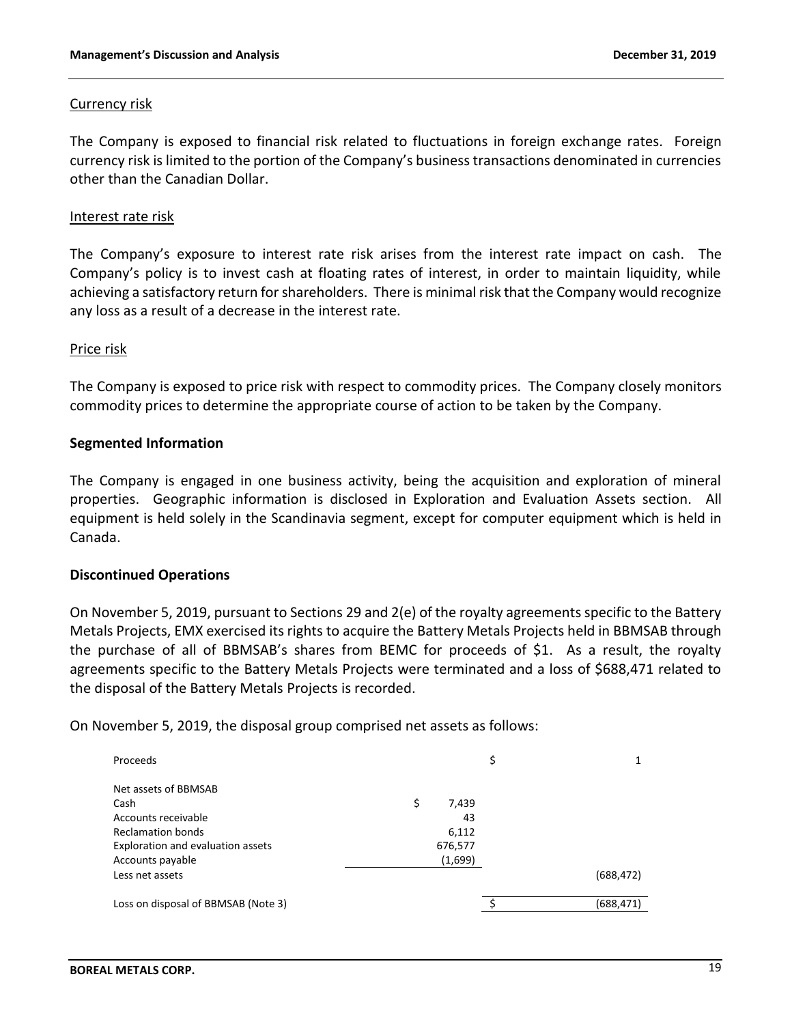### Currency risk

The Company is exposed to financial risk related to fluctuations in foreign exchange rates. Foreign currency risk is limited to the portion of the Company's business transactions denominated in currencies other than the Canadian Dollar.

### Interest rate risk

The Company's exposure to interest rate risk arises from the interest rate impact on cash. The Company's policy is to invest cash at floating rates of interest, in order to maintain liquidity, while achieving a satisfactory return for shareholders. There is minimal risk that the Company would recognize any loss as a result of a decrease in the interest rate.

### Price risk

The Company is exposed to price risk with respect to commodity prices. The Company closely monitors commodity prices to determine the appropriate course of action to be taken by the Company.

### **Segmented Information**

The Company is engaged in one business activity, being the acquisition and exploration of mineral properties. Geographic information is disclosed in Exploration and Evaluation Assets section. All equipment is held solely in the Scandinavia segment, except for computer equipment which is held in Canada.

### **Discontinued Operations**

On November 5, 2019, pursuant to Sections 29 and 2(e) of the royalty agreements specific to the Battery Metals Projects, EMX exercised its rights to acquire the Battery Metals Projects held in BBMSAB through the purchase of all of BBMSAB's shares from BEMC for proceeds of \$1. As a result, the royalty agreements specific to the Battery Metals Projects were terminated and a loss of \$688,471 related to the disposal of the Battery Metals Projects is recorded.

On November 5, 2019, the disposal group comprised net assets as follows:

| Proceeds                            |             | \$         |
|-------------------------------------|-------------|------------|
| Net assets of BBMSAB                |             |            |
| Cash                                | \$<br>7,439 |            |
| Accounts receivable                 | 43          |            |
| Reclamation bonds                   | 6,112       |            |
| Exploration and evaluation assets   | 676,577     |            |
| Accounts payable                    | (1,699)     |            |
| Less net assets                     |             | (688, 472) |
| Loss on disposal of BBMSAB (Note 3) |             | (688, 471) |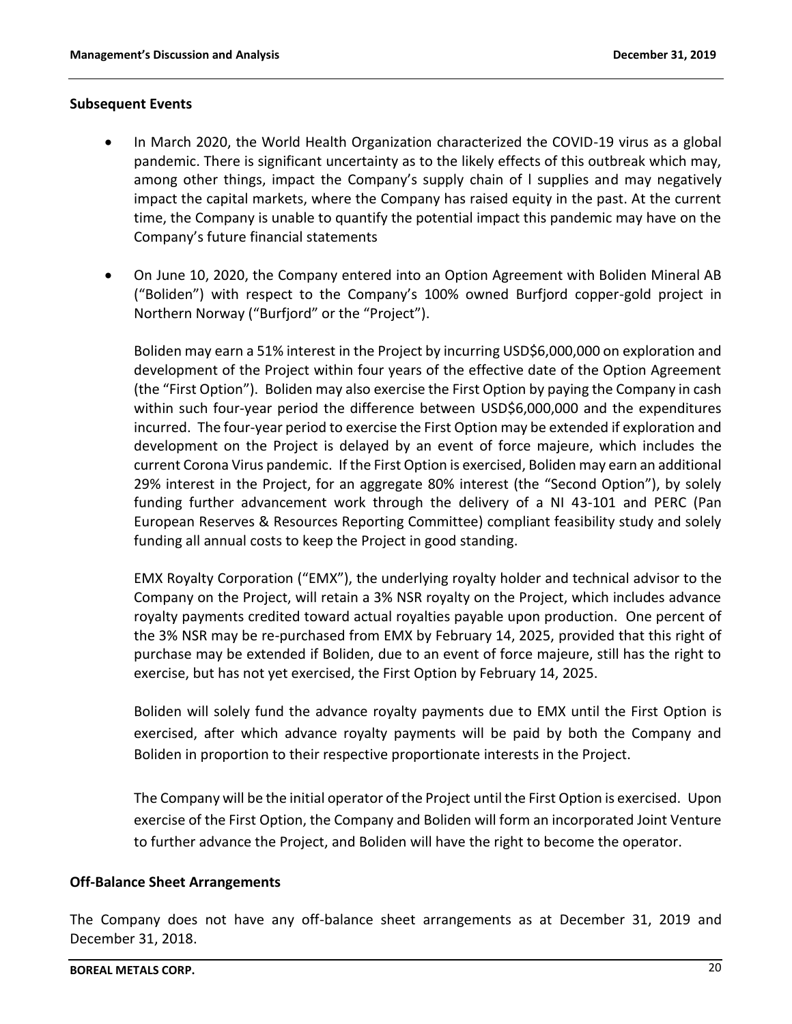#### **Subsequent Events**

- In March 2020, the World Health Organization characterized the COVID-19 virus as a global pandemic. There is significant uncertainty as to the likely effects of this outbreak which may, among other things, impact the Company's supply chain of l supplies and may negatively impact the capital markets, where the Company has raised equity in the past. At the current time, the Company is unable to quantify the potential impact this pandemic may have on the Company's future financial statements
- On June 10, 2020, the Company entered into an Option Agreement with Boliden Mineral AB ("Boliden") with respect to the Company's 100% owned Burfjord copper-gold project in Northern Norway ("Burfjord" or the "Project").

Boliden may earn a 51% interest in the Project by incurring USD\$6,000,000 on exploration and development of the Project within four years of the effective date of the Option Agreement (the "First Option"). Boliden may also exercise the First Option by paying the Company in cash within such four-year period the difference between USD\$6,000,000 and the expenditures incurred. The four-year period to exercise the First Option may be extended if exploration and development on the Project is delayed by an event of force majeure, which includes the current Corona Virus pandemic. If the First Option is exercised, Boliden may earn an additional 29% interest in the Project, for an aggregate 80% interest (the "Second Option"), by solely funding further advancement work through the delivery of a NI 43-101 and PERC (Pan European Reserves & Resources Reporting Committee) compliant feasibility study and solely funding all annual costs to keep the Project in good standing.

EMX Royalty Corporation ("EMX"), the underlying royalty holder and technical advisor to the Company on the Project, will retain a 3% NSR royalty on the Project, which includes advance royalty payments credited toward actual royalties payable upon production. One percent of the 3% NSR may be re-purchased from EMX by February 14, 2025, provided that this right of purchase may be extended if Boliden, due to an event of force majeure, still has the right to exercise, but has not yet exercised, the First Option by February 14, 2025.

Boliden will solely fund the advance royalty payments due to EMX until the First Option is exercised, after which advance royalty payments will be paid by both the Company and Boliden in proportion to their respective proportionate interests in the Project.

The Company will be the initial operator of the Project until the First Option is exercised. Upon exercise of the First Option, the Company and Boliden will form an incorporated Joint Venture to further advance the Project, and Boliden will have the right to become the operator.

### **Off-Balance Sheet Arrangements**

The Company does not have any off-balance sheet arrangements as at December 31, 2019 and December 31, 2018.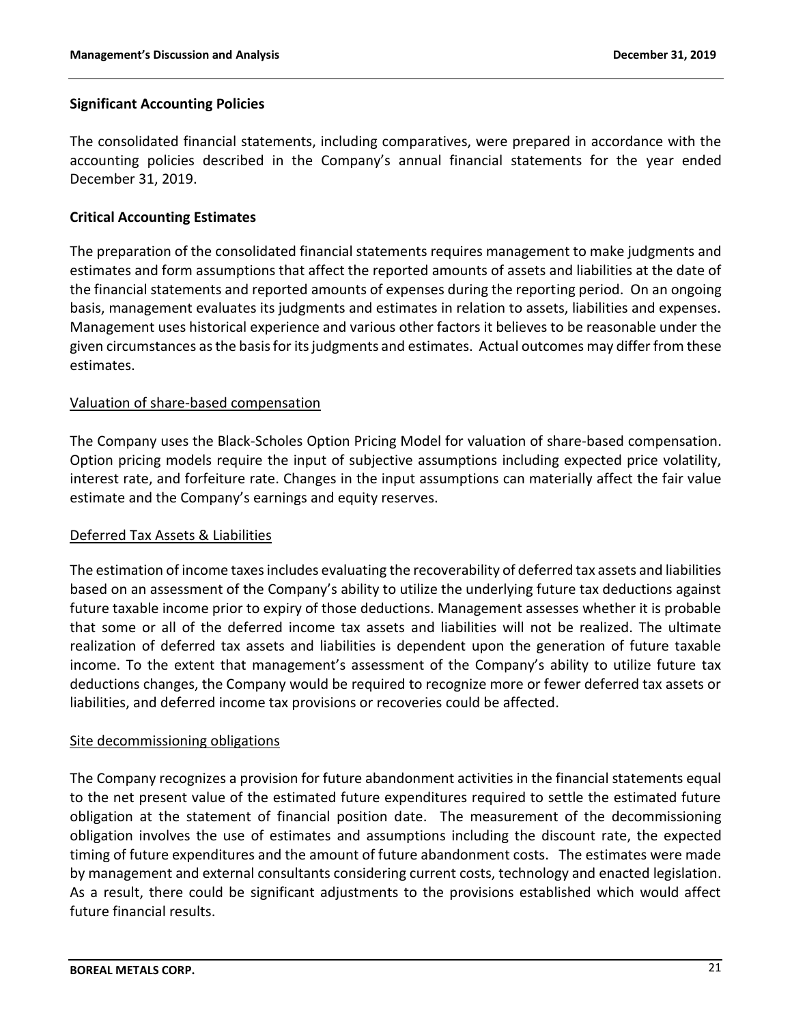## **Significant Accounting Policies**

The consolidated financial statements, including comparatives, were prepared in accordance with the accounting policies described in the Company's annual financial statements for the year ended December 31, 2019.

### **Critical Accounting Estimates**

The preparation of the consolidated financial statements requires management to make judgments and estimates and form assumptions that affect the reported amounts of assets and liabilities at the date of the financial statements and reported amounts of expenses during the reporting period. On an ongoing basis, management evaluates its judgments and estimates in relation to assets, liabilities and expenses. Management uses historical experience and various other factors it believes to be reasonable under the given circumstances as the basis for its judgments and estimates. Actual outcomes may differ from these estimates.

### Valuation of share-based compensation

The Company uses the Black-Scholes Option Pricing Model for valuation of share-based compensation. Option pricing models require the input of subjective assumptions including expected price volatility, interest rate, and forfeiture rate. Changes in the input assumptions can materially affect the fair value estimate and the Company's earnings and equity reserves.

### Deferred Tax Assets & Liabilities

The estimation of income taxes includes evaluating the recoverability of deferred tax assets and liabilities based on an assessment of the Company's ability to utilize the underlying future tax deductions against future taxable income prior to expiry of those deductions. Management assesses whether it is probable that some or all of the deferred income tax assets and liabilities will not be realized. The ultimate realization of deferred tax assets and liabilities is dependent upon the generation of future taxable income. To the extent that management's assessment of the Company's ability to utilize future tax deductions changes, the Company would be required to recognize more or fewer deferred tax assets or liabilities, and deferred income tax provisions or recoveries could be affected.

### Site decommissioning obligations

The Company recognizes a provision for future abandonment activities in the financial statements equal to the net present value of the estimated future expenditures required to settle the estimated future obligation at the statement of financial position date. The measurement of the decommissioning obligation involves the use of estimates and assumptions including the discount rate, the expected timing of future expenditures and the amount of future abandonment costs. The estimates were made by management and external consultants considering current costs, technology and enacted legislation. As a result, there could be significant adjustments to the provisions established which would affect future financial results.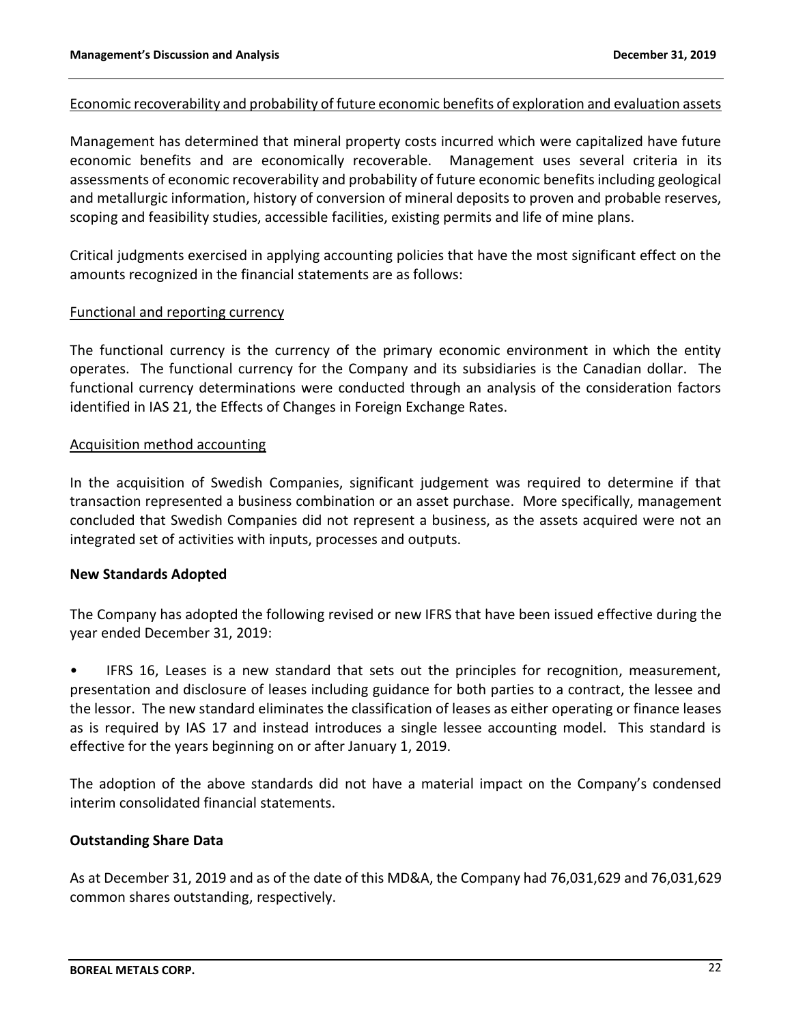### Economic recoverability and probability of future economic benefits of exploration and evaluation assets

Management has determined that mineral property costs incurred which were capitalized have future economic benefits and are economically recoverable. Management uses several criteria in its assessments of economic recoverability and probability of future economic benefits including geological and metallurgic information, history of conversion of mineral deposits to proven and probable reserves, scoping and feasibility studies, accessible facilities, existing permits and life of mine plans.

Critical judgments exercised in applying accounting policies that have the most significant effect on the amounts recognized in the financial statements are as follows:

### Functional and reporting currency

The functional currency is the currency of the primary economic environment in which the entity operates. The functional currency for the Company and its subsidiaries is the Canadian dollar. The functional currency determinations were conducted through an analysis of the consideration factors identified in IAS 21, the Effects of Changes in Foreign Exchange Rates.

### Acquisition method accounting

In the acquisition of Swedish Companies, significant judgement was required to determine if that transaction represented a business combination or an asset purchase. More specifically, management concluded that Swedish Companies did not represent a business, as the assets acquired were not an integrated set of activities with inputs, processes and outputs.

## **New Standards Adopted**

The Company has adopted the following revised or new IFRS that have been issued effective during the year ended December 31, 2019:

• IFRS 16, Leases is a new standard that sets out the principles for recognition, measurement, presentation and disclosure of leases including guidance for both parties to a contract, the lessee and the lessor. The new standard eliminates the classification of leases as either operating or finance leases as is required by IAS 17 and instead introduces a single lessee accounting model. This standard is effective for the years beginning on or after January 1, 2019.

The adoption of the above standards did not have a material impact on the Company's condensed interim consolidated financial statements.

## **Outstanding Share Data**

As at December 31, 2019 and as of the date of this MD&A, the Company had 76,031,629 and 76,031,629 common shares outstanding, respectively.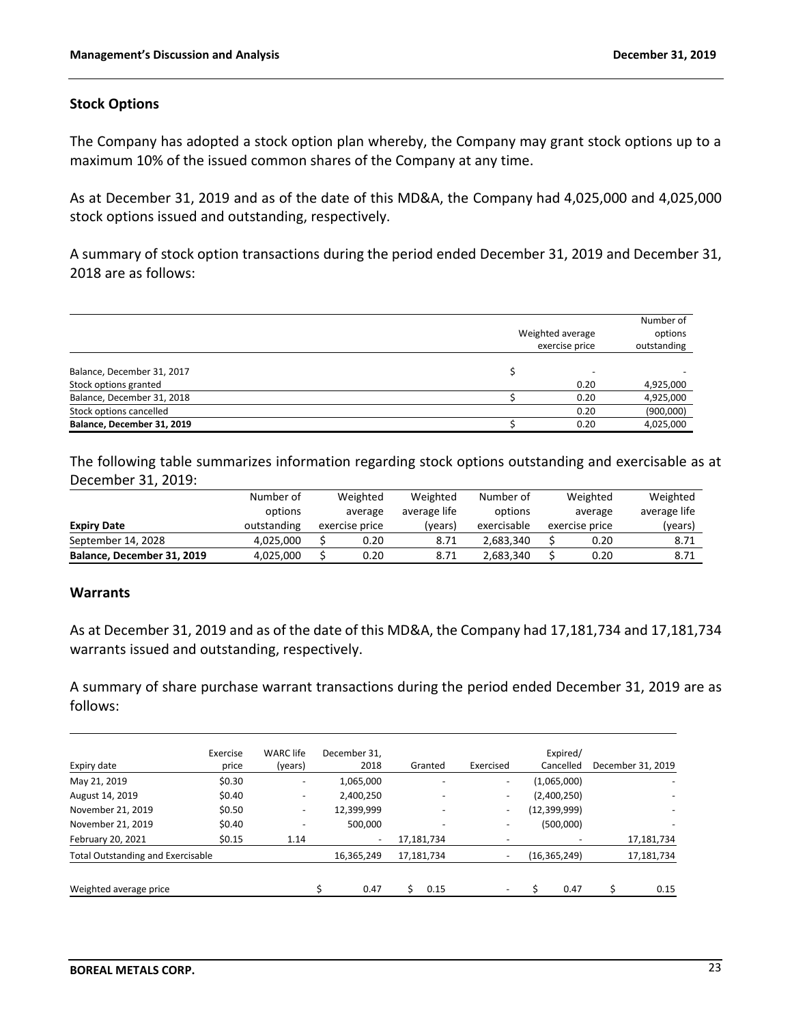### **Stock Options**

The Company has adopted a stock option plan whereby, the Company may grant stock options up to a maximum 10% of the issued common shares of the Company at any time.

As at December 31, 2019 and as of the date of this MD&A, the Company had 4,025,000 and 4,025,000 stock options issued and outstanding, respectively.

A summary of stock option transactions during the period ended December 31, 2019 and December 31, 2018 are as follows:

|                                                     |                | Weighted average | Number of<br>options<br>outstanding |
|-----------------------------------------------------|----------------|------------------|-------------------------------------|
|                                                     | exercise price |                  |                                     |
| Balance, December 31, 2017<br>Stock options granted |                | 0.20             | 4,925,000                           |
| Balance, December 31, 2018                          |                | 0.20             | 4,925,000                           |
| Stock options cancelled                             |                | 0.20             | (900,000)                           |
| Balance, December 31, 2019                          |                | 0.20             | 4,025,000                           |

The following table summarizes information regarding stock options outstanding and exercisable as at December 31, 2019:

|                            | Number of   | Weighted       | Weighted     | Number of   | Weighted       | Weighted     |
|----------------------------|-------------|----------------|--------------|-------------|----------------|--------------|
|                            | options     | average        | average life | options     | average        | average life |
| <b>Expiry Date</b>         | outstanding | exercise price | (vears)      | exercisable | exercise price | (years)      |
| September 14, 2028         | 4.025.000   | 0.20           | 8.71         | 2.683.340   | 0.20           | 8.71         |
| Balance, December 31, 2019 | 4,025,000   | 0.20           | 8.71         | 2.683.340   | 0.20           | 8.71         |

### **Warrants**

As at December 31, 2019 and as of the date of this MD&A, the Company had 17,181,734 and 17,181,734 warrants issued and outstanding, respectively.

A summary of share purchase warrant transactions during the period ended December 31, 2019 are as follows:

| Expiry date                              | Exercise<br>price | <b>WARC</b> life<br>(years) | December 31,<br>2018     | Granted    | Exercised                | Expired/<br>Cancelled | December 31, 2019 |
|------------------------------------------|-------------------|-----------------------------|--------------------------|------------|--------------------------|-----------------------|-------------------|
|                                          |                   |                             |                          |            |                          |                       |                   |
| May 21, 2019                             | \$0.30            | ۰.                          | 1,065,000                |            | $\overline{\phantom{a}}$ | (1,065,000)           |                   |
| August 14, 2019                          | \$0.40            | $\overline{\phantom{a}}$    | 2,400,250                |            | ۰.                       | (2,400,250)           |                   |
| November 21, 2019                        | \$0.50            | $\overline{\phantom{a}}$    | 12,399,999               | -          | $\overline{\phantom{a}}$ | (12, 399, 999)        |                   |
| November 21, 2019                        | \$0.40            |                             | 500,000                  |            | ۰                        | (500,000)             |                   |
| February 20, 2021                        | \$0.15            | 1.14                        | $\overline{\phantom{a}}$ | 17,181,734 |                          |                       | 17,181,734        |
| <b>Total Outstanding and Exercisable</b> |                   | 16,365,249                  | 17,181,734               |            | (16, 365, 249)           | 17,181,734            |                   |
| Weighted average price                   |                   |                             | 0.47                     | 0.15       |                          | 0.47                  | 0.15              |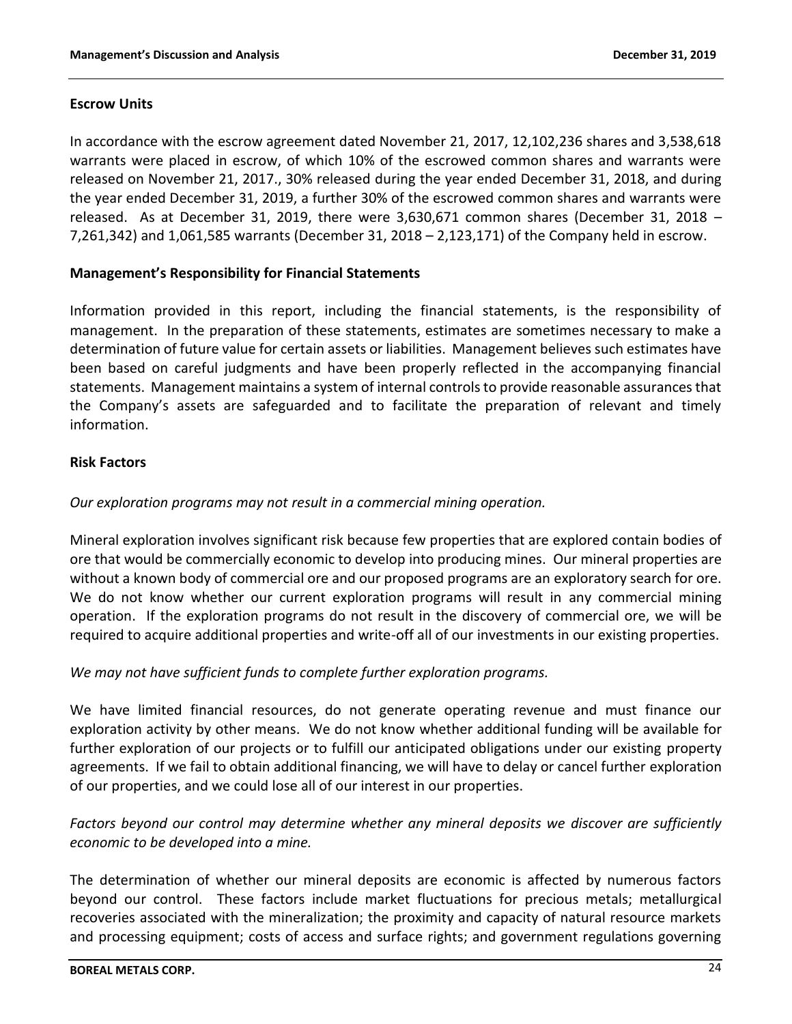## **Escrow Units**

In accordance with the escrow agreement dated November 21, 2017, 12,102,236 shares and 3,538,618 warrants were placed in escrow, of which 10% of the escrowed common shares and warrants were released on November 21, 2017., 30% released during the year ended December 31, 2018, and during the year ended December 31, 2019, a further 30% of the escrowed common shares and warrants were released. As at December 31, 2019, there were 3,630,671 common shares (December 31, 2018 – 7,261,342) and 1,061,585 warrants (December 31, 2018 – 2,123,171) of the Company held in escrow.

## **Management's Responsibility for Financial Statements**

Information provided in this report, including the financial statements, is the responsibility of management. In the preparation of these statements, estimates are sometimes necessary to make a determination of future value for certain assets or liabilities. Management believes such estimates have been based on careful judgments and have been properly reflected in the accompanying financial statements. Management maintains a system of internal controls to provide reasonable assurances that the Company's assets are safeguarded and to facilitate the preparation of relevant and timely information.

## **Risk Factors**

## *Our exploration programs may not result in a commercial mining operation.*

Mineral exploration involves significant risk because few properties that are explored contain bodies of ore that would be commercially economic to develop into producing mines. Our mineral properties are without a known body of commercial ore and our proposed programs are an exploratory search for ore. We do not know whether our current exploration programs will result in any commercial mining operation. If the exploration programs do not result in the discovery of commercial ore, we will be required to acquire additional properties and write-off all of our investments in our existing properties.

## *We may not have sufficient funds to complete further exploration programs.*

We have limited financial resources, do not generate operating revenue and must finance our exploration activity by other means. We do not know whether additional funding will be available for further exploration of our projects or to fulfill our anticipated obligations under our existing property agreements. If we fail to obtain additional financing, we will have to delay or cancel further exploration of our properties, and we could lose all of our interest in our properties.

# *Factors beyond our control may determine whether any mineral deposits we discover are sufficiently economic to be developed into a mine.*

The determination of whether our mineral deposits are economic is affected by numerous factors beyond our control. These factors include market fluctuations for precious metals; metallurgical recoveries associated with the mineralization; the proximity and capacity of natural resource markets and processing equipment; costs of access and surface rights; and government regulations governing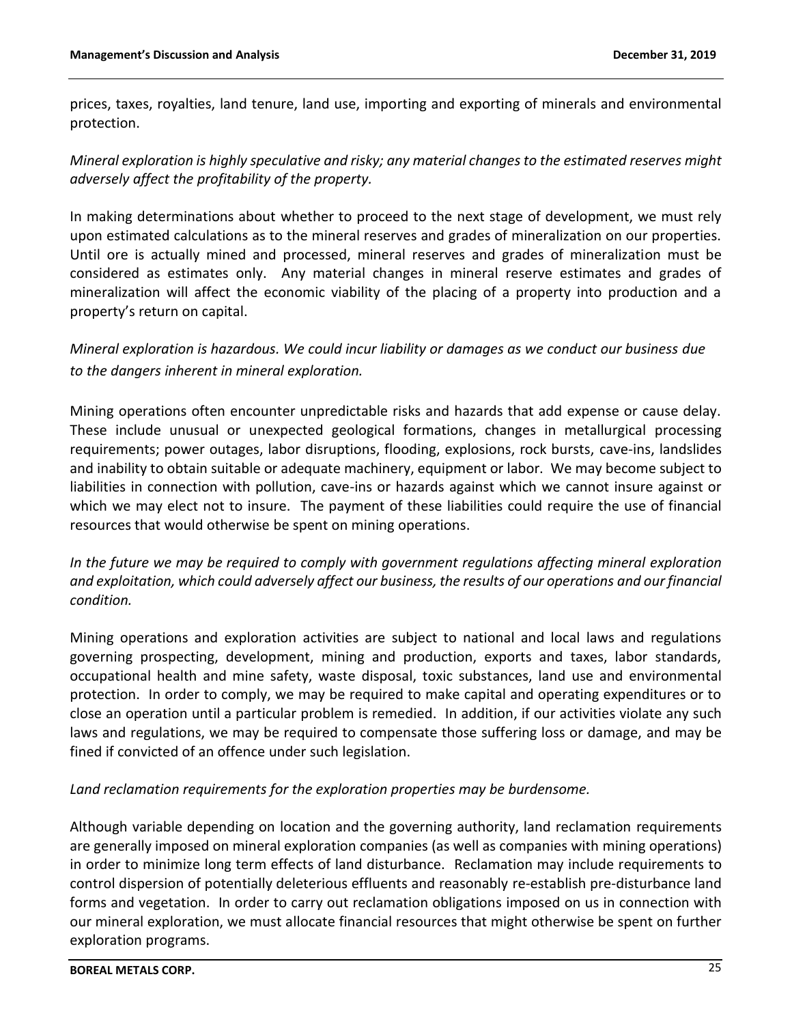prices, taxes, royalties, land tenure, land use, importing and exporting of minerals and environmental protection.

*Mineral exploration is highly speculative and risky; any material changes to the estimated reserves might adversely affect the profitability of the property.*

In making determinations about whether to proceed to the next stage of development, we must rely upon estimated calculations as to the mineral reserves and grades of mineralization on our properties. Until ore is actually mined and processed, mineral reserves and grades of mineralization must be considered as estimates only. Any material changes in mineral reserve estimates and grades of mineralization will affect the economic viability of the placing of a property into production and a property's return on capital.

*Mineral exploration is hazardous. We could incur liability or damages as we conduct our business due to the dangers inherent in mineral exploration.*

Mining operations often encounter unpredictable risks and hazards that add expense or cause delay. These include unusual or unexpected geological formations, changes in metallurgical processing requirements; power outages, labor disruptions, flooding, explosions, rock bursts, cave-ins, landslides and inability to obtain suitable or adequate machinery, equipment or labor. We may become subject to liabilities in connection with pollution, cave-ins or hazards against which we cannot insure against or which we may elect not to insure. The payment of these liabilities could require the use of financial resources that would otherwise be spent on mining operations.

*In the future we may be required to comply with government regulations affecting mineral exploration and exploitation, which could adversely affect our business, the results of our operations and our financial condition.*

Mining operations and exploration activities are subject to national and local laws and regulations governing prospecting, development, mining and production, exports and taxes, labor standards, occupational health and mine safety, waste disposal, toxic substances, land use and environmental protection. In order to comply, we may be required to make capital and operating expenditures or to close an operation until a particular problem is remedied. In addition, if our activities violate any such laws and regulations, we may be required to compensate those suffering loss or damage, and may be fined if convicted of an offence under such legislation.

*Land reclamation requirements for the exploration properties may be burdensome.*

Although variable depending on location and the governing authority, land reclamation requirements are generally imposed on mineral exploration companies (as well as companies with mining operations) in order to minimize long term effects of land disturbance. Reclamation may include requirements to control dispersion of potentially deleterious effluents and reasonably re-establish pre-disturbance land forms and vegetation. In order to carry out reclamation obligations imposed on us in connection with our mineral exploration, we must allocate financial resources that might otherwise be spent on further exploration programs.